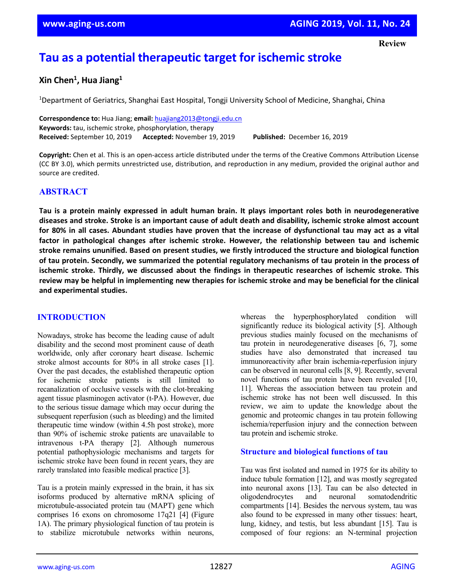# **Tau as a potential therapeutic target for ischemic stroke**

# **Xin Chen1 , Hua Jiang1**

<sup>1</sup>Department of Geriatrics, Shanghai East Hospital, Tongji University School of Medicine, Shanghai, China

**Correspondence to:** Hua Jiang; **email:** [huajiang2013@tongji.edu.cn](mailto:huajiang2013@tongji.edu.cn) **Keywords:** tau, ischemic stroke, phosphorylation, therapy **Received:** September 10, 2019 **Accepted:** November 19, 2019 **Published:** December 16, 2019

**Copyright:** Chen et al. This is an open-access article distributed under the terms of the Creative Commons Attribution License (CC BY 3.0), which permits unrestricted use, distribution, and reproduction in any medium, provided the original author and source are credited.

### **ABSTRACT**

Tau is a protein mainly expressed in adult human brain. It plays important roles both in neurodegenerative diseases and stroke. Stroke is an important cause of adult death and disability, ischemic stroke almost account for 80% in all cases. Abundant studies have proven that the increase of dysfunctional tau may act as a vital **factor in pathological changes after ischemic stroke. However, the relationship between tau and ischemic stroke remains ununified. Based on present studies, we firstly introduced the structure and biological function** of tau protein. Secondly, we summarized the potential regulatory mechanisms of tau protein in the process of **ischemic stroke. Thirdly, we discussed about the findings in therapeutic researches of ischemic stroke. This** review may be helpful in implementing new therapies for ischemic stroke and may be beneficial for the clinical **and experimental studies.**

#### **INTRODUCTION**

Nowadays, stroke has become the leading cause of adult disability and the second most prominent cause of death worldwide, only after coronary heart disease. Ischemic stroke almost accounts for 80% in all stroke cases [1]. Over the past decades, the established therapeutic option for ischemic stroke patients is still limited to recanalization of occlusive vessels with the clot-breaking agent tissue plasminogen activator (t-PA). However, due to the serious tissue damage which may occur during the subsequent reperfusion (such as bleeding) and the limited therapeutic time window (within 4.5h post stroke), more than 90% of ischemic stroke patients are unavailable to intravenous t-PA therapy [2]. Although numerous potential pathophysiologic mechanisms and targets for ischemic stroke have been found in recent years, they are rarely translated into feasible medical practice [3].

Tau is a protein mainly expressed in the brain, it has six isoforms produced by alternative mRNA splicing of microtubule-associated protein tau (MAPT) gene which comprises 16 exons on chromosome 17q21 [4] (Figure 1A). The primary physiological function of tau protein is to stabilize microtubule networks within neurons,

whereas the hyperphosphorylated condition will significantly reduce its biological activity [5]. Although previous studies mainly focused on the mechanisms of tau protein in neurodegenerative diseases [6, 7], some studies have also demonstrated that increased tau immunoreactivity after brain ischemia-reperfusion injury can be observed in neuronal cells [8, 9]. Recently, several novel functions of tau protein have been revealed [10, 11]. Whereas the association between tau protein and ischemic stroke has not been well discussed. In this review, we aim to update the knowledge about the genomic and proteomic changes in tau protein following ischemia/reperfusion injury and the connection between tau protein and ischemic stroke.

#### **Structure and biological functions of tau**

Tau was first isolated and named in 1975 for its ability to induce tubule formation [12], and was mostly segregated into neuronal axons [13]. Tau can be also detected in oligodendrocytes and neuronal somatodendritic compartments [14]. Besides the nervous system, tau was also found to be expressed in many other tissues: heart, lung, kidney, and testis, but less abundant [15]. Tau is composed of four regions: an N-terminal projection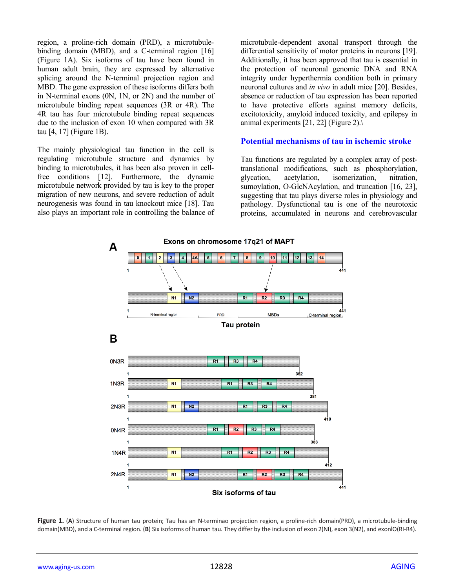region, a proline-rich domain (PRD), a microtubulebinding domain (MBD), and a C-terminal region [16] (Figure 1A). Six isoforms of tau have been found in human adult brain, they are expressed by alternative splicing around the N-terminal projection region and MBD. The gene expression of these isoforms differs both in N-terminal exons (0N, 1N, or 2N) and the number of microtubule binding repeat sequences (3R or 4R). The 4R tau has four microtubule binding repeat sequences due to the inclusion of exon 10 when compared with 3R tau [4, 17] (Figure 1B).

The mainly physiological tau function in the cell is regulating microtubule structure and dynamics by binding to microtubules, it has been also proven in cellfree conditions [12]. Furthermore, the dynamic microtubule network provided by tau is key to the proper migration of new neurons, and severe reduction of adult neurogenesis was found in tau knockout mice [18]. Tau also plays an important role in controlling the balance of

microtubule-dependent axonal transport through the differential sensitivity of motor proteins in neurons [19]. Additionally, it has been approved that tau is essential in the protection of neuronal genomic DNA and RNA integrity under hyperthermia condition both in primary neuronal cultures and *in vivo* in adult mice [20]. Besides, absence or reduction of tau expression has been reported to have protective efforts against memory deficits, excitotoxicity, amyloid induced toxicity, and epilepsy in animal experiments [21, 22] (Figure 2).\

#### **Potential mechanisms of tau in ischemic stroke**

Tau functions are regulated by a complex array of posttranslational modifications, such as phosphorylation, glycation, acetylation, isomerization, nitration, sumoylation, O-GlcNAcylation, and truncation [16, 23], suggesting that tau plays diverse roles in physiology and pathology. Dysfunctional tau is one of the neurotoxic proteins, accumulated in neurons and cerebrovascular



**Figure 1.** (**A**) Structure of human tau protein; Tau has an N-terminao projection region, a proline-rich domain(PRD), a microtubule-binding domain(MBD), and a C-terminal region. (**B**) Six isoforms of human tau. They differ by the inclusion of exon 2(NI), exon 3(N2), and exonlO(RI-R4).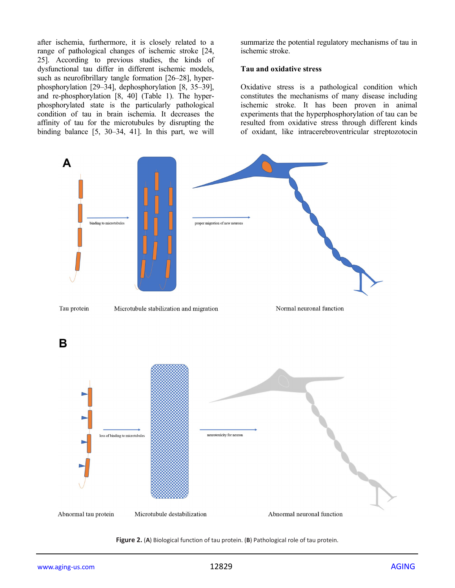after ischemia, furthermore, it is closely related to a range of pathological changes of ischemic stroke [24, 25]. According to previous studies, the kinds of dysfunctional tau differ in different ischemic models, such as neurofibrillary tangle formation [26–28], hyperphosphorylation [29–34], dephosphorylation [8, 35–39], and re-phosphorylation [8, 40] (Table 1). The hyperphosphorylated state is the particularly pathological condition of tau in brain ischemia. It decreases the affinity of tau for the microtubules by disrupting the binding balance [5, 30–34, 41]. In this part, we will

summarize the potential regulatory mechanisms of tau in ischemic stroke.

#### **Tau and oxidative stress**

Oxidative stress is a pathological condition which constitutes the mechanisms of many disease including ischemic stroke. It has been proven in animal experiments that the hyperphosphorylation of tau can be resulted from oxidative stress through different kinds of oxidant, like intracerebroventricular streptozotocin



**Figure 2.** (**A**) Biological function of tau protein. (**B**) Pathological role of tau protein.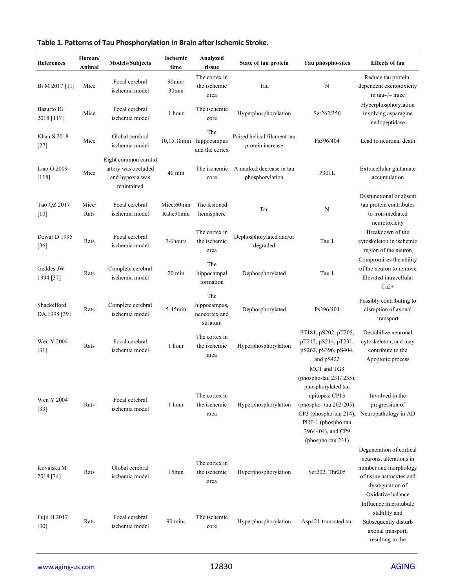| <b>References</b>            | Human/<br>Animal | <b>Models/Subjects</b>                                                       | Ischemic<br>time               | Analyzed<br>tissue                               | State of tau protein                            | Tau phospho-sites                                                                                                                                                                                  | <b>Effects of tau</b>                                                                                                                             |
|------------------------------|------------------|------------------------------------------------------------------------------|--------------------------------|--------------------------------------------------|-------------------------------------------------|----------------------------------------------------------------------------------------------------------------------------------------------------------------------------------------------------|---------------------------------------------------------------------------------------------------------------------------------------------------|
| Bi M 2017 [11]               | Mice             | Focal cerebral<br>ischemia model                                             | $90$ min/<br>30 <sub>min</sub> | The cortex in<br>the ischemic<br>area            | Tau                                             | N                                                                                                                                                                                                  | Reduce tau protein-<br>dependent excitotoxicity<br>in tau-/- mice                                                                                 |
| Basurto IG<br>2018 [117]     | Mice             | Focal cerebral<br>ischemia model                                             | 1 hour                         | The ischemic<br>core                             | Hyperphosphorylation                            | Ser262/356                                                                                                                                                                                         | Hyperphosphorylation<br>involving asparagine<br>endopeptidase                                                                                     |
| <b>Khan S 2018</b><br>$[27]$ | Mice             | Global cerebral<br>ischemia model                                            |                                | The<br>10,15,18min hippocampus<br>and the cortex | Paired helical filament tau<br>protein increase | Ps396/404                                                                                                                                                                                          | Lead to neuronal death                                                                                                                            |
| Liao G 2009<br>$[118]$       | Mice             | Right common carotid<br>artery was occluded<br>and hypoxia was<br>maintained | $40 \text{ min}$               | The ischemic<br>core                             | A marked decrease in tau<br>phosphorylation     | P301L                                                                                                                                                                                              | Extracellular glutamate<br>accumulation                                                                                                           |
| Tuo QZ 2017<br>[10]          | Mice/<br>Rats    | Focal cerebral<br>ischemia model                                             | Mice:60min<br>Rats:90min       | The lesioned<br>hemisphere                       | Tau                                             | N                                                                                                                                                                                                  | Dysfunctional or absent<br>tau protein contributes<br>to iron-mediated<br>neurotoxicity                                                           |
| Dewar D 1995<br>$[36]$       | Rats             | Focal cerebral<br>ischemia model                                             | 2-6hours                       | The cortex in<br>the ischemic<br>area            | Dephosphorylated and/or<br>degraded             | Tau 1                                                                                                                                                                                              | Breakdown of the<br>cytoskeleton in ischemic<br>region of the neuron                                                                              |
| Geddes JW<br>1994 [37]       | Rats             | Complete cerebral<br>ischemia model                                          | $20 \text{ min}$               | The<br>hippocampal<br>formation                  | Dephosphorylated                                | Tau 1                                                                                                                                                                                              | Compromises the ability<br>of the neuron to remove<br>Elevated intracellular<br>$Ca2+$                                                            |
| Shackelford<br>DA, 1998 [39] | Rats             | Complete cerebral<br>ischemia model                                          | $5-15$ min                     | The<br>hippocampus,<br>neocortex and<br>striatum | Dephosphorylated                                | Ps396/404                                                                                                                                                                                          | Possibly contributing to<br>disruption of axonal<br>transport                                                                                     |
| Wen Y 2004<br>$[31]$         | Rats             | Focal cerebral<br>ischemia model                                             | 1 hour                         | The cortex in<br>the ischemic<br>area            | Hyperphosphorylation                            | PT181, pS202, pT205,<br>pT212, pS214, pT231,<br>pS262, pS396, pS404,<br>and pS422                                                                                                                  | Destabilize neuronal<br>cytoskeleton, and may<br>contribute to the<br>Apoptotic process                                                           |
| Wen Y 2004<br>$[33]$         | Rats             | Focal cerebral<br>ischemia model                                             | 1 hour                         | The cortex in<br>the ischemic<br>area            | Hyperphosphorylation                            | MC1 and TG3<br>(phospho-tau 231/235);<br>phosphorylated tau<br>epitopes: CP13<br>(phospho- tau 202/205),<br>CP3 (phospho-tau 214),<br>PHF-1 (phospho-tau<br>396/404), and CP9<br>(phospho-tau 231) | Involved in the<br>progression of<br>Neuropathology in AD                                                                                         |
| Kovalska M<br>2018 [34]      | Rats             | Global cerebral<br>ischemia model                                            | 15min                          | The cortex in<br>the ischemic<br>area            | Hyperphosphorylation                            | Ser202, Thr205                                                                                                                                                                                     | Degeneration of cortical<br>neurons, alterations in<br>number and morphology<br>of tissue astrocytes and<br>dysregulation of<br>Oxidative balance |
| Fujii H 2017<br>$[30]$       | Rats             | Focal cerebral<br>ischemia model                                             | 90 mins                        | The ischemic<br>core                             | Hyperphosphorylation                            | Asp421-truncated tau                                                                                                                                                                               | Influence microtubule<br>stability and<br>Subsequently disturb<br>axonal transport,<br>resulting in the                                           |

# **Table 1. Patterns of Tau Phosphorylation in Brain after Ischemic Stroke.**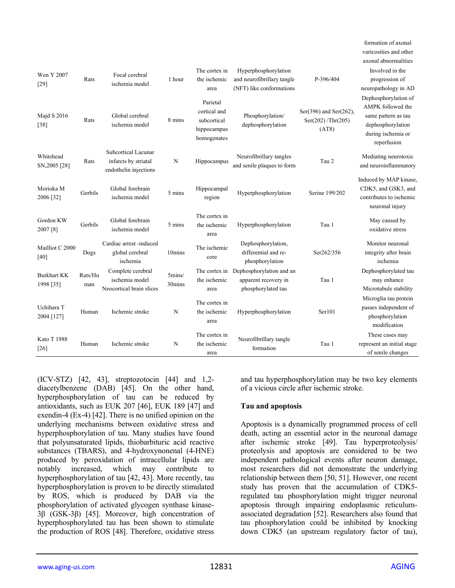| Wen Y 2007<br>$[29]$<br>Majd S 2016<br>$[38]$ | Rats<br>Rats   | Focal cerebral<br>ischemia model<br>Global cerebral<br>ischemia model | 1 hour<br>8 mins | The cortex in<br>the ischemic<br>area<br>Parietal<br>cortical and<br>subcortical<br>hippocampus | Hyperphosphorylation<br>and neurofibrillary tangle<br>(NFT) like conformations<br>Phosphorylation/<br>dephosphorylation | P-396/404<br>Ser(396) and Ser(262),<br>Ser(202)/Thr(205)<br>(AT8) | varicosities and other<br>axonal abnormalities<br>Involved in the<br>progression of<br>neuropathology in AD<br>Dephosphorylation of<br>AMPK followed the<br>same pattern as tau<br>dephosphorylation<br>during ischemia or |
|-----------------------------------------------|----------------|-----------------------------------------------------------------------|------------------|-------------------------------------------------------------------------------------------------|-------------------------------------------------------------------------------------------------------------------------|-------------------------------------------------------------------|----------------------------------------------------------------------------------------------------------------------------------------------------------------------------------------------------------------------------|
| Whitehead<br>SN, 2005 [28]                    | Rats           | Subcortical Lacunar<br>infarcts by striatal<br>endothelin injections  | N                | homogenates<br>Hippocampus                                                                      | Neurofibrillary tangles<br>and senile plaques to form                                                                   | Tau 2                                                             | reperfusion<br>Mediating neurotoxic<br>and neuroinflammatory                                                                                                                                                               |
| Morioka M<br>2006 [32]                        | Gerbils        | Global forebrain<br>ischemia model                                    | 5 mins           | Hippocampal<br>region                                                                           | Hyperphosphorylation                                                                                                    | Serine 199/202                                                    | Induced by MAP kinase,<br>CDK5, and GSK3, and<br>contributes to ischemic<br>neuronal injury                                                                                                                                |
| Gordon KW<br>2007 [8]                         | Gerbils        | Global forebrain<br>ischemia model                                    | 5 mins           | The cortex in<br>the ischemic<br>area                                                           | Hyperphosphorylation                                                                                                    | Tau 1                                                             | May caused by<br>oxidative stress                                                                                                                                                                                          |
| Mailliot C 2000<br>$[40]$                     | Dogs           | Cardiac arrest -induced<br>global cerebral<br>ischemia                | 10mins           | The ischemic<br>core                                                                            | Dephosphorylation,<br>differential and re-<br>phosphorylation                                                           | Ser262/356                                                        | Monitor neuronal<br>integrity after brain<br>ischemia                                                                                                                                                                      |
| <b>Burkhart KK</b><br>1998 [35]               | Rats/Hu<br>man | Complete cerebral<br>ischemia model<br>Neocortical brain slices       | 5mins/<br>30mins | the ischemic<br>area                                                                            | The cortex in Dephosphorylation and an<br>apparent recovery in<br>phosphorylated tau                                    | Tau 1                                                             | Dephosphorylated tau<br>may enhance<br>Microtubule stability                                                                                                                                                               |
| Uchihara T<br>2004 [127]                      | Human          | Ischemic stroke                                                       | N                | The cortex in<br>the ischemic<br>area                                                           | Hyperphosphorylation                                                                                                    | Ser101                                                            | Microglia tau protein<br>passes independent of<br>phosphorylation<br>modification                                                                                                                                          |
| <b>Kato T 1988</b><br>$[26]$                  | Human          | Ischemic stroke                                                       | N                | The cortex in<br>the ischemic<br>area                                                           | Neurofibrillary tangle<br>formation                                                                                     | Tau 1                                                             | These cases may<br>represent an initial stage<br>of senile changes                                                                                                                                                         |

(ICV-STZ) [42, 43], streptozotocin [44] and 1,2 diacetylbenzene (DAB) [45]. On the other hand, hyperphosphorylation of tau can be reduced by antioxidants, such as EUK 207 [46], EUK 189 [47] and exendin-4 (Ex-4) [42]. There is no unified opinion on the underlying mechanisms between oxidative stress and hyperphosphorylation of tau. Many studies have found that polyunsaturated lipids, thiobarbituric acid reactive substances (TBARS), and 4-hydroxynonenal (4-HNE) produced by peroxidation of intracellular lipids are notably increased, which may contribute to hyperphosphorylation of tau [42, 43]. More recently, tau hyperphosphorylation is proven to be directly stimulated by ROS, which is produced by DAB via the phosphorylation of activated glycogen synthase kinase-3β (GSK-3β) [45]. Moreover, high concentration of hyperphosphorylated tau has been shown to stimulate the production of ROS [48]. Therefore, oxidative stress

and tau hyperphosphorylation may be two key elements of a vicious circle after ischemic stroke.

#### **Tau and apoptosis**

Apoptosis is a dynamically programmed process of cell death, acting an essential actor in the neuronal damage after ischemic stroke [49]. Tau hyperproteolysis/ proteolysis and apoptosis are considered to be two independent pathological events after neuron damage, most researchers did not demonstrate the underlying relationship between them [50, 51]. However, one recent study has proven that the accumulation of CDK5 regulated tau phosphorylation might trigger neuronal apoptosis through impairing endoplasmic reticulumassociated degradation [52]. Researchers also found that tau phosphorylation could be inhibited by knocking down CDK5 (an upstream regulatory factor of tau),

formation of axonal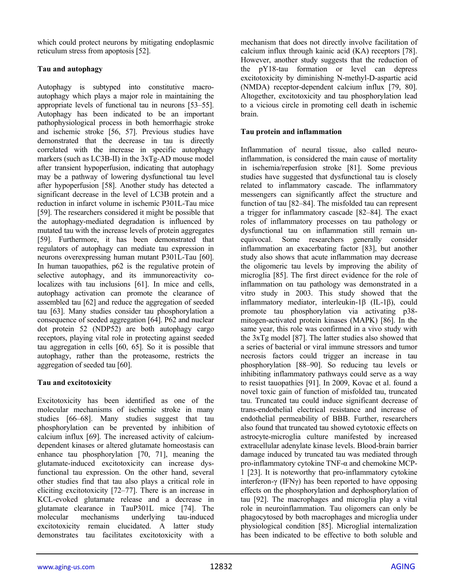which could protect neurons by mitigating endoplasmic reticulum stress from apoptosis [52].

#### **Tau and autophagy**

Autophagy is subtyped into constitutive macroautophagy which plays a major role in maintaining the appropriate levels of functional tau in neurons [53–55]. Autophagy has been indicated to be an important pathophysiological process in both hemorrhagic stroke and ischemic stroke [56, 57]. Previous studies have demonstrated that the decrease in tau is directly correlated with the increase in specific autophagy markers (such as LC3B-II) in the 3xTg-AD mouse model after transient hypoperfusion, indicating that autophagy may be a pathway of lowering dysfunctional tau level after hypoperfusion [58]. Another study has detected a significant decrease in the level of LC3B protein and a reduction in infarct volume in ischemic P301L-Tau mice [59]. The researchers considered it might be possible that the autophagy-mediated degradation is influenced by mutated tau with the increase levels of protein aggregates [59]. Furthermore, it has been demonstrated that regulators of autophagy can mediate tau expression in neurons overexpressing human mutant P301L-Tau [60]. In human tauopathies, p62 is the regulative protein of selective autophagy, and its immunoreactivity colocalizes with tau inclusions [61]. In mice and cells, autophagy activation can promote the clearance of assembled tau [62] and reduce the aggregation of seeded tau [63]. Many studies consider tau phosphorylation a consequence of seeded aggregation [64]. P62 and nuclear dot protein 52 (NDP52) are both autophagy cargo receptors, playing vital role in protecting against seeded tau aggregation in cells [60, 65]. So it is possible that autophagy, rather than the proteasome, restricts the aggregation of seeded tau [60].

# **Tau and excitotoxicity**

Excitotoxicity has been identified as one of the molecular mechanisms of ischemic stroke in many studies [66–68]. Many studies suggest that tau phosphorylation can be prevented by inhibition of calcium influx [69]. The increased activity of calciumdependent kinases or altered glutamate homeostasis can enhance tau phosphorylation [70, 71], meaning the glutamate-induced excitotoxicity can increase dysfunctional tau expression. On the other hand, several other studies find that tau also plays a critical role in eliciting excitotoxicity [72–77]. There is an increase in KCL-evoked glutamate release and a decrease in glutamate clearance in TauP301L mice [74]. The molecular mechanisms underlying tau-induced excitotoxicity remain elucidated. A latter study demonstrates tau facilitates excitotoxicity with a

mechanism that does not directly involve facilitation of calcium influx through kainic acid (KA) receptors [78]. However, another study suggests that the reduction of the pY18-tau formation or level can depress excitotoxicity by diminishing N-methyl-D-aspartic acid (NMDA) receptor-dependent calcium influx [79, 80]. Altogether, excitotoxicity and tau phosphorylation lead to a vicious circle in promoting cell death in ischemic brain.

#### **Tau protein and inflammation**

Inflammation of neural tissue, also called neuroinflammation, is considered the main cause of mortality in ischemia/reperfusion stroke [81]. Some previous studies have suggested that dysfunctional tau is closely related to inflammatory cascade. The inflammatory messengers can significantly affect the structure and function of tau [82–84]. The misfolded tau can represent a trigger for inflammatory cascade [82–84]. The exact roles of inflammatory processes on tau pathology or dysfunctional tau on inflammation still remain unequivocal. Some researchers generally consider inflammation an exacerbating factor [83], but another study also shows that acute inflammation may decrease the oligomeric tau levels by improving the ability of microglia [85]. The first direct evidence for the role of inflammation on tau pathology was demonstrated in a vitro study in 2003. This study showed that the inflammatory mediator, interleukin-1β (IL-1β), could promote tau phosphorylation via activating p38 mitogen-activated protein kinases (MAPK) [86]. In the same year, this role was confirmed in a vivo study with the 3xTg model [87]. The latter studies also showed that a series of bacterial or viral immune stressors and tumor necrosis factors could trigger an increase in tau phosphorylation [88–90]. So reducing tau levels or inhibiting inflammatory pathways could serve as a way to resist tauopathies [91]. In 2009, Kovac et al. found a novel toxic gain of function of misfolded tau, truncated tau. Truncated tau could induce significant decrease of trans-endothelial electrical resistance and increase of endothelial permeability of BBB. Further, researchers also found that truncated tau showed cytotoxic effects on astrocyte-microglia culture manifested by increased extracellular adenylate kinase levels. Blood-brain barrier damage induced by truncated tau was mediated through pro-inflammatory cytokine TNF-α and chemokine MCP-1 [23]. It is noteworthy that pro-inflammatory cytokine interferon-γ (IFNγ) has been reported to have opposing effects on the phosphorylation and dephosphorylation of tau [92]. The macrophages and microglia play a vital role in neuroinflammation. Tau oligomers can only be phagocytosed by both macrophages and microglia under physiological condition [85]. Microglial internalization has been indicated to be effective to both soluble and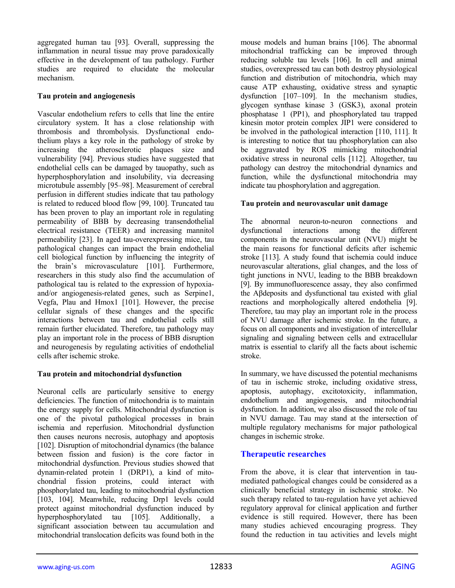aggregated human tau [93]. Overall, suppressing the inflammation in neural tissue may prove paradoxically effective in the development of tau pathology. Further studies are required to elucidate the molecular mechanism.

#### **Tau protein and angiogenesis**

Vascular endothelium refers to cells that line the entire circulatory system. It has a close relationship with thrombosis and thrombolysis. Dysfunctional endothelium plays a key role in the pathology of stroke by increasing the atherosclerotic plaques size and vulnerability [94]. Previous studies have suggested that endothelial cells can be damaged by tauopathy, such as hyperphosphorylation and insolubility, via decreasing microtubule assembly [95–98]. Measurement of cerebral perfusion in different studies indicate that tau pathology is related to reduced blood flow [99, 100]. Truncated tau has been proven to play an important role in regulating permeability of BBB by decreasing transendothelial electrical resistance (TEER) and increasing mannitol permeability [23]. In aged tau-overexpressing mice, tau pathological changes can impact the brain endothelial cell biological function by influencing the integrity of the brain's microvasculature [101]. Furthermore, researchers in this study also find the accumulation of pathological tau is related to the expression of hypoxiaand/or angiogenesis-related genes, such as Serpine1, Vegfa, Plau and Hmox1 [101]. However, the precise cellular signals of these changes and the specific interactions between tau and endothelial cells still remain further elucidated. Therefore, tau pathology may play an important role in the process of BBB disruption and neurogenesis by regulating activities of endothelial cells after ischemic stroke.

#### **Tau protein and mitochondrial dysfunction**

Neuronal cells are particularly sensitive to energy deficiencies. The function of mitochondria is to maintain the energy supply for cells. Mitochondrial dysfunction is one of the pivotal pathological processes in brain ischemia and reperfusion. Mitochondrial dysfunction then causes neurons necrosis, autophagy and apoptosis [102]. Disruption of mitochondrial dynamics (the balance between fission and fusion) is the core factor in mitochondrial dysfunction. Previous studies showed that dynamin-related protein 1 (DRP1), a kind of mitochondrial fission proteins, could interact with phosphorylated tau, leading to mitochondrial dysfunction [103, 104]. Meanwhile, reducing Drp1 levels could protect against mitochondrial dysfunction induced by hyperphosphorylated tau [105]. Additionally, a significant association between tau accumulation and mitochondrial translocation deficits was found both in the

mouse models and human brains [106]. The abnormal mitochondrial trafficking can be improved through reducing soluble tau levels [106]. In cell and animal studies, overexpressed tau can both destroy physiological function and distribution of mitochondria, which may cause ATP exhausting, oxidative stress and synaptic dysfunction [107–109]. In the mechanism studies, glycogen synthase kinase 3 (GSK3), axonal protein phosphatase 1 (PP1), and phosphorylated tau trapped kinesin motor protein complex JIP1 were considered to be involved in the pathological interaction [110, 111]. It is interesting to notice that tau phosphorylation can also be aggravated by ROS mimicking mitochondrial oxidative stress in neuronal cells [112]. Altogether, tau pathology can destroy the mitochondrial dynamics and function, while the dysfunctional mitochondria may indicate tau phosphorylation and aggregation.

#### **Tau protein and neurovascular unit damage**

The abnormal neuron-to-neuron connections and dysfunctional interactions among the different components in the neurovascular unit (NVU) might be the main reasons for functional deficits after ischemic stroke [113]. A study found that ischemia could induce neurovascular alterations, glial changes, and the loss of tight junctions in NVU, leading to the BBB breakdown [9]. By immunofluorescence assay, they also confirmed the Aβdeposits and dysfunctional tau existed with glial reactions and morphologically altered endothelia [9]. Therefore, tau may play an important role in the process of NVU damage after ischemic stroke. In the future, a focus on all components and investigation of intercellular signaling and signaling between cells and extracellular matrix is essential to clarify all the facts about ischemic stroke.

In summary, we have discussed the potential mechanisms of tau in ischemic stroke, including oxidative stress, apoptosis, autophagy, excitotoxicity, inflammation, endothelium and angiogenesis, and mitochondrial dysfunction. In addition, we also discussed the role of tau in NVU damage. Tau may stand at the intersection of multiple regulatory mechanisms for major pathological changes in ischemic stroke.

#### **Therapeutic researches**

From the above, it is clear that intervention in taumediated pathological changes could be considered as a clinically beneficial strategy in ischemic stroke. No such therapy related to tau-regulation have yet achieved regulatory approval for clinical application and further evidence is still required. However, there has been many studies achieved encouraging progress. They found the reduction in tau activities and levels might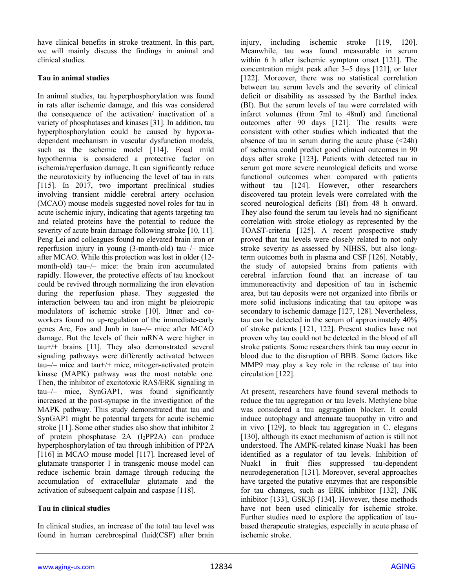have clinical benefits in stroke treatment. In this part, we will mainly discuss the findings in animal and clinical studies.

#### **Tau in animal studies**

In animal studies, tau hyperphosphorylation was found in rats after ischemic damage, and this was considered the consequence of the activation/ inactivation of a variety of phosphatases and kinases [31]. In addition, tau hyperphosphorylation could be caused by hypoxiadependent mechanism in vascular dysfunction models, such as the ischemic model [114]. Focal mild hypothermia is considered a protective factor on ischemia/reperfusion damage. It can significantly reduce the neurotoxicity by influencing the level of tau in rats [115]. In 2017, two important preclinical studies involving transient middle cerebral artery occlusion (MCAO) mouse models suggested novel roles for tau in acute ischemic injury, indicating that agents targeting tau and related proteins have the potential to reduce the severity of acute brain damage following stroke [10, 11]. Peng Lei and colleagues found no elevated brain iron or reperfusion injury in young (3-month-old) tau–/– mice after MCAO. While this protection was lost in older (12 month-old) tau–/– mice: the brain iron accumulated rapidly. However, the protective effects of tau knockout could be revived through normalizing the iron elevation during the reperfusion phase. They suggested the interaction between tau and iron might be pleiotropic modulators of ischemic stroke [10]. Ittner and coworkers found no up-regulation of the immediate-early genes Arc, Fos and Junb in tau–/– mice after MCAO damage. But the levels of their mRNA were higher in tau+/+ brains [11]. They also demonstrated several signaling pathways were differently activated between tau–/– mice and tau+/+ mice, mitogen-activated protein kinase (MAPK) pathway was the most notable one. Then, the inhibitor of excitotoxic RAS/ERK signaling in tau–/– mice, SynGAP1, was found significantly increased at the post-synapse in the investigation of the MAPK pathway. This study demonstrated that tau and SynGAP1 might be potential targets for acute ischemic stroke [11]. Some other studies also show that inhibitor 2 of protein phosphatase 2A (I2PP2A) can produce hyperphosphorylation of tau through inhibition of PP2A [116] in MCAO mouse model [117]. Increased level of glutamate transporter 1 in transgenic mouse model can reduce ischemic brain damage through reducing the accumulation of extracellular glutamate and the activation of subsequent calpain and caspase [118].

#### **Tau in clinical studies**

In clinical studies, an increase of the total tau level was found in human cerebrospinal fluid(CSF) after brain

injury, including ischemic stroke [119, 120]. Meanwhile, tau was found measurable in serum within 6 h after ischemic symptom onset [121]. The concentration might peak after 3–5 days [121], or later [122]. Moreover, there was no statistical correlation between tau serum levels and the severity of clinical deficit or disability as assessed by the Barthel index (BI). But the serum levels of tau were correlated with infarct volumes (from 7ml to 48ml) and functional outcomes after 90 days [121]. The results were consistent with other studies which indicated that the absence of tau in serum during the acute phase  $\left( \langle 24h \rangle \right)$ of ischemia could predict good clinical outcomes in 90 days after stroke [123]. Patients with detected tau in serum got more severe neurological deficits and worse functional outcomes when compared with patients without tau [124]. However, other researchers discovered tau protein levels were correlated with the scored neurological deficits (BI) from 48 h onward. They also found the serum tau levels had no significant correlation with stroke etiology as represented by the TOAST-criteria [125]. A recent prospective study proved that tau levels were closely related to not only stroke severity as assessed by NIHSS, but also longterm outcomes both in plasma and CSF [126]. Notably, the study of autopsied brains from patients with cerebral infarction found that an increase of tau immunoreactivity and deposition of tau in ischemic area, but tau deposits were not organized into fibrils or more solid inclusions indicating that tau epitope was secondary to ischemic damage [127, 128]. Nevertheless, tau can be detected in the serum of approximately 40% of stroke patients [121, 122]. Present studies have not proven why tau could not be detected in the blood of all stroke patients. Some researchers think tau may occur in blood due to the disruption of BBB. Some factors like MMP9 may play a key role in the release of tau into circulation [122].

At present, researchers have found several methods to reduce the tau aggregation or tau levels. Methylene blue was considered a tau aggregation blocker. It could induce autophagy and attenuate tauopathy in vitro and in vivo [129], to block tau aggregation in C. elegans [130], although its exact mechanism of action is still not understood. The AMPK-related kinase Nuak1 has been identified as a regulator of tau levels. Inhibition of Nuak1 in fruit flies suppressed tau-dependent neurodegeneration [131]. Moreover, several approaches have targeted the putative enzymes that are responsible for tau changes, such as ERK inhibitor [132], JNK inhibitor [133], GSK3β [134]. However, these methods have not been used clinically for ischemic stroke. Further studies need to explore the application of taubased therapeutic strategies, especially in acute phase of ischemic stroke.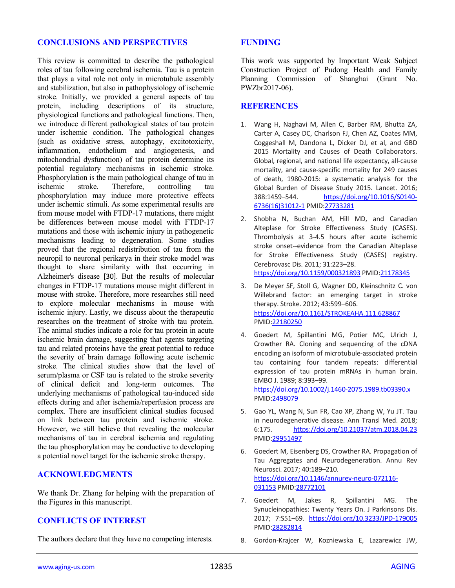#### **CONCLUSIONS AND PERSPECTIVES**

This review is committed to describe the pathological roles of tau following cerebral ischemia. Tau is a protein that plays a vital role not only in microtubule assembly and stabilization, but also in pathophysiology of ischemic stroke. Initially, we provided a general aspects of tau protein, including descriptions of its structure, physiological functions and pathological functions. Then, we introduce different pathological states of tau protein under ischemic condition. The pathological changes (such as oxidative stress, autophagy, excitotoxicity, inflammation, endothelium and angiogenesis, and mitochondrial dysfunction) of tau protein determine its potential regulatory mechanisms in ischemic stroke. Phosphorylation is the main pathological change of tau in ischemic stroke. Therefore, controlling tau phosphorylation may induce more protective effects under ischemic stimuli. As some experimental results are from mouse model with FTDP-17 mutations, there might be differences between mouse model with FTDP-17 mutations and those with ischemic injury in pathogenetic mechanisms leading to degeneration. Some studies proved that the regional redistribution of tau from the neuropil to neuronal perikarya in their stroke model was thought to share similarity with that occurring in Alzheimer's disease [30]. But the results of molecular changes in FTDP-17 mutations mouse might different in mouse with stroke. Therefore, more researches still need to explore molecular mechanisms in mouse with ischemic injury. Lastly, we discuss about the therapeutic researches on the treatment of stroke with tau protein. The animal studies indicate a role for tau protein in acute ischemic brain damage, suggesting that agents targeting tau and related proteins have the great potential to reduce the severity of brain damage following acute ischemic stroke. The clinical studies show that the level of serum/plasma or CSF tau is related to the stroke severity of clinical deficit and long-term outcomes. The underlying mechanisms of pathological tau-induced side effects during and after ischemia/reperfusion process are complex. There are insufficient clinical studies focused on link between tau protein and ischemic stroke. However, we still believe that revealing the molecular mechanisms of tau in cerebral ischemia and regulating the tau phosphorylation may be conductive to developing a potential novel target for the ischemic stroke therapy.

#### **ACKNOWLEDGMENTS**

We thank Dr. Zhang for helping with the preparation of the Figures in this manuscript.

# **CONFLICTS OF INTEREST**

The authors declare that they have no competing interests.

#### **FUNDING**

This work was supported by Important Weak Subject Construction Project of Pudong Health and Family Planning Commission of Shanghai (Grant No. PWZbr2017-06).

#### **REFERENCES**

- 1. Wang H, Naghavi M, Allen C, Barber RM, Bhutta ZA, Carter A, Casey DC, Charlson FJ, Chen AZ, Coates MM, Coggeshall M, Dandona L, Dicker DJ, et al, and GBD 2015 Mortality and Causes of Death Collaborators. Global, regional, and national life expectancy, all-cause mortality, and cause-specific mortality for 249 causes of death, 1980-2015: a systematic analysis for the Global Burden of Disease Study 2015. Lancet. 2016; 388:1459–544. [https://doi.org/10.1016/S0140-](https://doi.org/10.1016/S0140-6736(16)31012-1) [6736\(16\)31012-1](https://doi.org/10.1016/S0140-6736(16)31012-1) PMID[:27733281](https://www.ncbi.nlm.nih.gov/entrez/query.fcgi?cmd=Retrieve&db=PubMed&list_uids=27733281&dopt=Abstract)
- 2. Shobha N, Buchan AM, Hill MD, and Canadian Alteplase for Stroke Effectiveness Study (CASES). Thrombolysis at 3-4.5 hours after acute ischemic stroke onset--evidence from the Canadian Alteplase for Stroke Effectiveness Study (CASES) registry. Cerebrovasc Dis. 2011; 31:223–28. <https://doi.org/10.1159/000321893> PMID[:21178345](https://www.ncbi.nlm.nih.gov/entrez/query.fcgi?cmd=Retrieve&db=PubMed&list_uids=21178345&dopt=Abstract)
- 3. De Meyer SF, Stoll G, Wagner DD, Kleinschnitz C. von Willebrand factor: an emerging target in stroke therapy. Stroke. 2012; 43:599–606. <https://doi.org/10.1161/STROKEAHA.111.628867> PMID[:22180250](https://www.ncbi.nlm.nih.gov/entrez/query.fcgi?cmd=Retrieve&db=PubMed&list_uids=22180250&dopt=Abstract)
- 4. Goedert M, Spillantini MG, Potier MC, Ulrich J, Crowther RA. Cloning and sequencing of the cDNA encoding an isoform of microtubule-associated protein tau containing four tandem repeats: differential expression of tau protein mRNAs in human brain. EMBO J. 1989; 8:393–99.

<https://doi.org/10.1002/j.1460-2075.1989.tb03390.x> PMID[:2498079](https://www.ncbi.nlm.nih.gov/entrez/query.fcgi?cmd=Retrieve&db=PubMed&list_uids=2498079&dopt=Abstract)

- 5. Gao YL, Wang N, Sun FR, Cao XP, Zhang W, Yu JT. Tau in neurodegenerative disease. Ann Transl Med. 2018; 6:175. <https://doi.org/10.21037/atm.2018.04.23> PMID[:29951497](https://www.ncbi.nlm.nih.gov/entrez/query.fcgi?cmd=Retrieve&db=PubMed&list_uids=29951497&dopt=Abstract)
- 6. Goedert M, Eisenberg DS, Crowther RA. Propagation of Tau Aggregates and Neurodegeneration. Annu Rev Neurosci. 2017; 40:189–210. [https://doi.org/10.1146/annurev-neuro-072116-](https://doi.org/10.1146/annurev-neuro-072116-031153) [031153](https://doi.org/10.1146/annurev-neuro-072116-031153) PMI[D:28772101](https://www.ncbi.nlm.nih.gov/entrez/query.fcgi?cmd=Retrieve&db=PubMed&list_uids=28772101&dopt=Abstract)
- 7. Goedert M, Jakes R, Spillantini MG. The Synucleinopathies: Twenty Years On. J Parkinsons Dis. 2017; 7:S51–69. <https://doi.org/10.3233/JPD-179005> PMID[:28282814](https://www.ncbi.nlm.nih.gov/entrez/query.fcgi?cmd=Retrieve&db=PubMed&list_uids=28282814&dopt=Abstract)
- 8. Gordon-Krajcer W, Kozniewska E, Lazarewicz JW,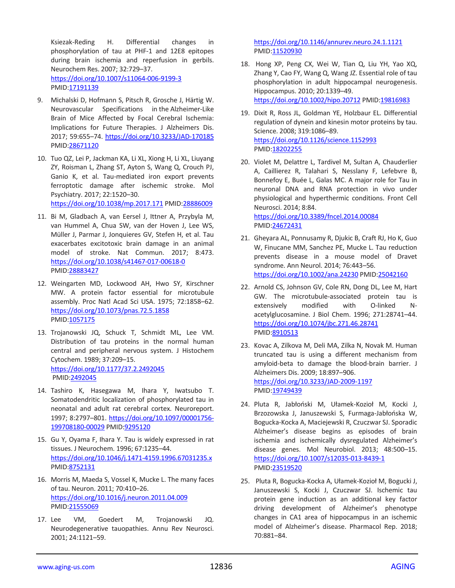Ksiezak-Reding H. Differential changes in phosphorylation of tau at PHF-1 and 12E8 epitopes during brain ischemia and reperfusion in gerbils. Neurochem Res. 2007; 32:729–37. <https://doi.org/10.1007/s11064-006-9199-3> PMID[:17191139](https://www.ncbi.nlm.nih.gov/entrez/query.fcgi?cmd=Retrieve&db=PubMed&list_uids=17191139&dopt=Abstract)

- 9. Michalski D, Hofmann S, Pitsch R, Grosche J, Härtig W. Neurovascular Specifications in the Alzheimer-Like Brain of Mice Affected by Focal Cerebral Ischemia: Implications for Future Therapies. J Alzheimers Dis. 2017; 59:655–74. <https://doi.org/10.3233/JAD-170185> PMID[:28671120](https://www.ncbi.nlm.nih.gov/entrez/query.fcgi?cmd=Retrieve&db=PubMed&list_uids=28671120&dopt=Abstract)
- 10. Tuo QZ, Lei P, Jackman KA, Li XL, Xiong H, Li XL, Liuyang ZY, Roisman L, Zhang ST, Ayton S, Wang Q, Crouch PJ, Ganio K, et al. Tau-mediated iron export prevents ferroptotic damage after ischemic stroke. Mol Psychiatry. 2017; 22:1520–30. <https://doi.org/10.1038/mp.2017.171> PMID[:28886009](https://www.ncbi.nlm.nih.gov/entrez/query.fcgi?cmd=Retrieve&db=PubMed&list_uids=28886009&dopt=Abstract)
- 11. Bi M, Gladbach A, van Eersel J, Ittner A, Przybyla M, van Hummel A, Chua SW, van der Hoven J, Lee WS, Müller J, Parmar J, Jonquieres GV, Stefen H, et al. Tau exacerbates excitotoxic brain damage in an animal model of stroke. Nat Commun. 2017; 8:473. <https://doi.org/10.1038/s41467-017-00618-0> PMID[:28883427](https://www.ncbi.nlm.nih.gov/entrez/query.fcgi?cmd=Retrieve&db=PubMed&list_uids=28883427&dopt=Abstract)
- 12. Weingarten MD, Lockwood AH, Hwo SY, Kirschner MW. A protein factor essential for microtubule assembly. Proc Natl Acad Sci USA. 1975; 72:1858–62. <https://doi.org/10.1073/pnas.72.5.1858> PMID[:1057175](https://www.ncbi.nlm.nih.gov/entrez/query.fcgi?cmd=Retrieve&db=PubMed&list_uids=1057175&dopt=Abstract)
- 13. Trojanowski JQ, Schuck T, Schmidt ML, Lee VM. Distribution of tau proteins in the normal human central and peripheral nervous system. J Histochem Cytochem. 1989; 37:209–15. <https://doi.org/10.1177/37.2.2492045> PMID[:2492045](https://www.ncbi.nlm.nih.gov/entrez/query.fcgi?cmd=Retrieve&db=PubMed&list_uids=2492045&dopt=Abstract)
- 14. Tashiro K, Hasegawa M, Ihara Y, Iwatsubo T. Somatodendritic localization of phosphorylated tau in neonatal and adult rat cerebral cortex. Neuroreport. 1997; 8:2797–801. [https://doi.org/10.1097/00001756-](https://doi.org/10.1097/00001756-199708180-00029) [199708180-00029](https://doi.org/10.1097/00001756-199708180-00029) PMI[D:9295120](https://www.ncbi.nlm.nih.gov/entrez/query.fcgi?cmd=Retrieve&db=PubMed&list_uids=9295120&dopt=Abstract)
- 15. Gu Y, Oyama F, Ihara Y. Tau is widely expressed in rat tissues. J Neurochem. 1996; 67:1235–44. <https://doi.org/10.1046/j.1471-4159.1996.67031235.x> PMID[:8752131](https://www.ncbi.nlm.nih.gov/entrez/query.fcgi?cmd=Retrieve&db=PubMed&list_uids=8752131&dopt=Abstract)
- 16. Morris M, Maeda S, Vossel K, Mucke L. The many faces of tau. Neuron. 2011; 70:410–26. <https://doi.org/10.1016/j.neuron.2011.04.009> PMID[:21555069](https://www.ncbi.nlm.nih.gov/entrez/query.fcgi?cmd=Retrieve&db=PubMed&list_uids=21555069&dopt=Abstract)
- 17. Lee VM, Goedert M, Trojanowski JQ. Neurodegenerative tauopathies. Annu Rev Neurosci. 2001; 24:1121–59.

<https://doi.org/10.1146/annurev.neuro.24.1.1121> PMID[:11520930](https://www.ncbi.nlm.nih.gov/entrez/query.fcgi?cmd=Retrieve&db=PubMed&list_uids=11520930&dopt=Abstract)

- 18. Hong XP, Peng CX, Wei W, Tian Q, Liu YH, Yao XQ, Zhang Y, Cao FY, Wang Q, Wang JZ. Essential role of tau phosphorylation in adult hippocampal neurogenesis. Hippocampus. 2010; 20:1339–49. <https://doi.org/10.1002/hipo.20712> PMID[:19816983](https://www.ncbi.nlm.nih.gov/entrez/query.fcgi?cmd=Retrieve&db=PubMed&list_uids=19816983&dopt=Abstract)
- 19. Dixit R, Ross JL, Goldman YE, Holzbaur EL. Differential regulation of dynein and kinesin motor proteins by tau. Science. 2008; 319:1086–89. <https://doi.org/10.1126/science.1152993> PMID[:18202255](https://www.ncbi.nlm.nih.gov/entrez/query.fcgi?cmd=Retrieve&db=PubMed&list_uids=18202255&dopt=Abstract)
- 20. Violet M, Delattre L, Tardivel M, Sultan A, Chauderlier A, Caillierez R, Talahari S, Nesslany F, Lefebvre B, Bonnefoy E, Buée L, Galas MC. A major role for Tau in neuronal DNA and RNA protection in vivo under physiological and hyperthermic conditions. Front Cell Neurosci. 2014; 8:84.

<https://doi.org/10.3389/fncel.2014.00084> PMID[:24672431](https://www.ncbi.nlm.nih.gov/entrez/query.fcgi?cmd=Retrieve&db=PubMed&list_uids=24672431&dopt=Abstract)

- 21. Gheyara AL, Ponnusamy R, Djukic B, Craft RJ, Ho K, Guo W, Finucane MM, Sanchez PE, Mucke L. Tau reduction prevents disease in a mouse model of Dravet syndrome. Ann Neurol. 2014; 76:443–56. <https://doi.org/10.1002/ana.24230> PMID[:25042160](https://www.ncbi.nlm.nih.gov/entrez/query.fcgi?cmd=Retrieve&db=PubMed&list_uids=25042160&dopt=Abstract)
- 22. Arnold CS, Johnson GV, Cole RN, Dong DL, Lee M, Hart GW. The microtubule-associated protein tau is extensively modified with O-linked Nacetylglucosamine. J Biol Chem. 1996; 271:28741–44. <https://doi.org/10.1074/jbc.271.46.28741> PMID[:8910513](https://www.ncbi.nlm.nih.gov/entrez/query.fcgi?cmd=Retrieve&db=PubMed&list_uids=8910513&dopt=Abstract)
- 23. Kovac A, Zilkova M, Deli MA, Zilka N, Novak M. Human truncated tau is using a different mechanism from amyloid-beta to damage the blood-brain barrier. J Alzheimers Dis. 2009; 18:897–906. <https://doi.org/10.3233/JAD-2009-1197> PMID[:19749439](https://www.ncbi.nlm.nih.gov/entrez/query.fcgi?cmd=Retrieve&db=PubMed&list_uids=19749439&dopt=Abstract)
- 24. Pluta R, Jabłoński M, Ułamek-Kozioł M, Kocki J, Brzozowska J, Januszewski S, Furmaga-Jabłońska W, Bogucka-Kocka A, Maciejewski R, Czuczwar SJ. Sporadic Alzheimer's disease begins as episodes of brain ischemia and ischemically dysregulated Alzheimer's disease genes. Mol Neurobiol. 2013; 48:500–15. <https://doi.org/10.1007/s12035-013-8439-1> PMID[:23519520](https://www.ncbi.nlm.nih.gov/entrez/query.fcgi?cmd=Retrieve&db=PubMed&list_uids=23519520&dopt=Abstract)
- 25. Pluta R, Bogucka-Kocka A, Ułamek-Kozioł M, Bogucki J, Januszewski S, Kocki J, Czuczwar SJ. Ischemic tau protein gene induction as an additional key factor driving development of Alzheimer's phenotype changes in CA1 area of hippocampus in an ischemic model of Alzheimer's disease. Pharmacol Rep. 2018; 70:881–84.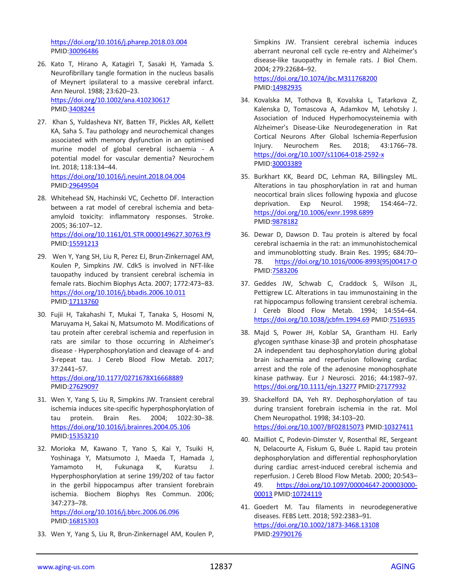<https://doi.org/10.1016/j.pharep.2018.03.004> PMID[:30096486](https://www.ncbi.nlm.nih.gov/entrez/query.fcgi?cmd=Retrieve&db=PubMed&list_uids=30096486&dopt=Abstract)

- 26. Kato T, Hirano A, Katagiri T, Sasaki H, Yamada S. Neurofibrillary tangle formation in the nucleus basalis of Meynert ipsilateral to a massive cerebral infarct. Ann Neurol. 1988; 23:620–23. <https://doi.org/10.1002/ana.410230617> PMID[:3408244](https://www.ncbi.nlm.nih.gov/entrez/query.fcgi?cmd=Retrieve&db=PubMed&list_uids=3408244&dopt=Abstract)
- 27. Khan S, Yuldasheva NY, Batten TF, Pickles AR, Kellett KA, Saha S. Tau pathology and neurochemical changes associated with memory dysfunction in an optimised murine model of global cerebral ischaemia - A potential model for vascular dementia? Neurochem Int. 2018; 118:134–44. <https://doi.org/10.1016/j.neuint.2018.04.004> PMID[:29649504](https://www.ncbi.nlm.nih.gov/entrez/query.fcgi?cmd=Retrieve&db=PubMed&list_uids=29649504&dopt=Abstract)
- 28. Whitehead SN, Hachinski VC, Cechetto DF. Interaction between a rat model of cerebral ischemia and betaamyloid toxicity: inflammatory responses. Stroke. 2005; 36:107–12. <https://doi.org/10.1161/01.STR.0000149627.30763.f9> PMID[:15591213](https://www.ncbi.nlm.nih.gov/entrez/query.fcgi?cmd=Retrieve&db=PubMed&list_uids=15591213&dopt=Abstract)
- 29. Wen Y, Yang SH, Liu R, Perez EJ, Brun-Zinkernagel AM, Koulen P, Simpkins JW. Cdk5 is involved in NFT-like tauopathy induced by transient cerebral ischemia in female rats. Biochim Biophys Acta. 2007; 1772:473–83. <https://doi.org/10.1016/j.bbadis.2006.10.011> PMID[:17113760](https://www.ncbi.nlm.nih.gov/entrez/query.fcgi?cmd=Retrieve&db=PubMed&list_uids=17113760&dopt=Abstract)
- 30. Fujii H, Takahashi T, Mukai T, Tanaka S, Hosomi N, Maruyama H, Sakai N, Matsumoto M. Modifications of tau protein after cerebral ischemia and reperfusion in rats are similar to those occurring in Alzheimer's disease - Hyperphosphorylation and cleavage of 4- and 3-repeat tau. J Cereb Blood Flow Metab. 2017; 37:2441–57.

<https://doi.org/10.1177/0271678X16668889> PMID[:27629097](https://www.ncbi.nlm.nih.gov/entrez/query.fcgi?cmd=Retrieve&db=PubMed&list_uids=27629097&dopt=Abstract)

- 31. Wen Y, Yang S, Liu R, Simpkins JW. Transient cerebral ischemia induces site-specific hyperphosphorylation of tau protein. Brain Res. 2004; 1022:30–38. <https://doi.org/10.1016/j.brainres.2004.05.106> PMID[:15353210](https://www.ncbi.nlm.nih.gov/entrez/query.fcgi?cmd=Retrieve&db=PubMed&list_uids=15353210&dopt=Abstract)
- 32. Morioka M, Kawano T, Yano S, Kai Y, Tsuiki H, Yoshinaga Y, Matsumoto J, Maeda T, Hamada J, Yamamoto H, Fukunaga K, Kuratsu J. Hyperphosphorylation at serine 199/202 of tau factor in the gerbil hippocampus after transient forebrain ischemia. Biochem Biophys Res Commun. 2006; 347:273–78. <https://doi.org/10.1016/j.bbrc.2006.06.096>

PMID[:16815303](https://www.ncbi.nlm.nih.gov/entrez/query.fcgi?cmd=Retrieve&db=PubMed&list_uids=16815303&dopt=Abstract)

33. Wen Y, Yang S, Liu R, Brun-Zinkernagel AM, Koulen P,

Simpkins JW. Transient cerebral ischemia induces aberrant neuronal cell cycle re-entry and Alzheimer's disease-like tauopathy in female rats. J Biol Chem. 2004; 279:22684–92.

<https://doi.org/10.1074/jbc.M311768200> PMID[:14982935](https://www.ncbi.nlm.nih.gov/entrez/query.fcgi?cmd=Retrieve&db=PubMed&list_uids=14982935&dopt=Abstract)

- 34. Kovalska M, Tothova B, Kovalska L, Tatarkova Z, Kalenska D, Tomascova A, Adamkov M, Lehotsky J. Association of Induced Hyperhomocysteinemia with Alzheimer's Disease-Like Neurodegeneration in Rat Cortical Neurons After Global Ischemia-Reperfusion Injury. Neurochem Res. 2018; 43:1766–78. <https://doi.org/10.1007/s11064-018-2592-x> PMID[:30003389](https://www.ncbi.nlm.nih.gov/entrez/query.fcgi?cmd=Retrieve&db=PubMed&list_uids=30003389&dopt=Abstract)
- 35. Burkhart KK, Beard DC, Lehman RA, Billingsley ML. Alterations in tau phosphorylation in rat and human neocortical brain slices following hypoxia and glucose deprivation. Exp Neurol. 1998; 154:464–72. <https://doi.org/10.1006/exnr.1998.6899> PMID[:9878182](https://www.ncbi.nlm.nih.gov/entrez/query.fcgi?cmd=Retrieve&db=PubMed&list_uids=9878182&dopt=Abstract)
- 36. Dewar D, Dawson D. Tau protein is altered by focal cerebral ischaemia in the rat: an immunohistochemical and immunoblotting study. Brain Res. 1995; 684:70– 78. [https://doi.org/10.1016/0006-8993\(95\)00417-O](https://doi.org/10.1016/0006-8993(95)00417-O) PMID[:7583206](https://www.ncbi.nlm.nih.gov/entrez/query.fcgi?cmd=Retrieve&db=PubMed&list_uids=7583206&dopt=Abstract)
- 37. Geddes JW, Schwab C, Craddock S, Wilson JL, Pettigrew LC. Alterations in tau immunostaining in the rat hippocampus following transient cerebral ischemia. J Cereb Blood Flow Metab. 1994; 14:554–64. <https://doi.org/10.1038/jcbfm.1994.69> PMID[:7516935](https://www.ncbi.nlm.nih.gov/entrez/query.fcgi?cmd=Retrieve&db=PubMed&list_uids=7516935&dopt=Abstract)
- 38. Majd S, Power JH, Koblar SA, Grantham HJ. Early glycogen synthase kinase-3β and protein phosphatase 2A independent tau dephosphorylation during global brain ischaemia and reperfusion following cardiac arrest and the role of the adenosine monophosphate kinase pathway. Eur J Neurosci. 2016; 44:1987–97. <https://doi.org/10.1111/ejn.13277> PMID[:27177932](https://www.ncbi.nlm.nih.gov/entrez/query.fcgi?cmd=Retrieve&db=PubMed&list_uids=27177932&dopt=Abstract)
- 39. Shackelford DA, Yeh RY. Dephosphorylation of tau during transient forebrain ischemia in the rat. Mol Chem Neuropathol. 1998; 34:103–20. <https://doi.org/10.1007/BF02815073> PMID[:10327411](https://www.ncbi.nlm.nih.gov/entrez/query.fcgi?cmd=Retrieve&db=PubMed&list_uids=10327411&dopt=Abstract)
- 40. Mailliot C, Podevin-Dimster V, Rosenthal RE, Sergeant N, Delacourte A, Fiskum G, Buée L. Rapid tau protein dephosphorylation and differential rephosphorylation during cardiac arrest-induced cerebral ischemia and reperfusion. J Cereb Blood Flow Metab. 2000; 20:543– 49. [https://doi.org/10.1097/00004647-200003000-](https://doi.org/10.1097/00004647-200003000-00013) [00013](https://doi.org/10.1097/00004647-200003000-00013) PMID[:10724119](https://www.ncbi.nlm.nih.gov/entrez/query.fcgi?cmd=Retrieve&db=PubMed&list_uids=10724119&dopt=Abstract)
- 41. Goedert M. Tau filaments in neurodegenerative diseases. FEBS Lett. 2018; 592:2383–91. <https://doi.org/10.1002/1873-3468.13108> PMID[:29790176](https://www.ncbi.nlm.nih.gov/entrez/query.fcgi?cmd=Retrieve&db=PubMed&list_uids=29790176&dopt=Abstract)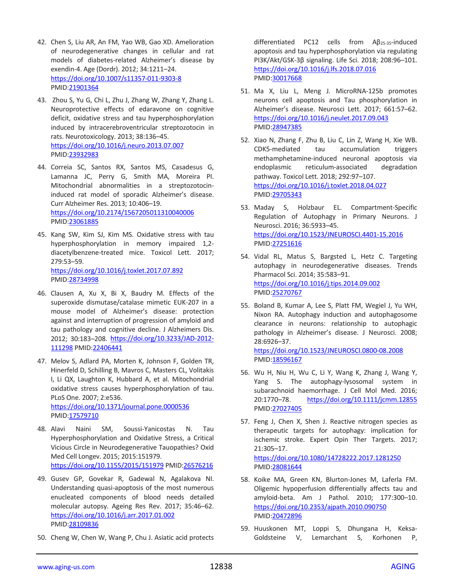- 42. Chen S, Liu AR, An FM, Yao WB, Gao XD. Amelioration of neurodegenerative changes in cellular and rat models of diabetes-related Alzheimer's disease by exendin-4. Age (Dordr). 2012; 34:1211–24. <https://doi.org/10.1007/s11357-011-9303-8> PMID[:21901364](https://www.ncbi.nlm.nih.gov/entrez/query.fcgi?cmd=Retrieve&db=PubMed&list_uids=21901364&dopt=Abstract)
- 43. Zhou S, Yu G, Chi L, Zhu J, Zhang W, Zhang Y, Zhang L. Neuroprotective effects of edaravone on cognitive deficit, oxidative stress and tau hyperphosphorylation induced by intracerebroventricular streptozotocin in rats. Neurotoxicology. 2013; 38:136–45. <https://doi.org/10.1016/j.neuro.2013.07.007> PMID[:23932983](https://www.ncbi.nlm.nih.gov/entrez/query.fcgi?cmd=Retrieve&db=PubMed&list_uids=23932983&dopt=Abstract)
- 44. Correia SC, Santos RX, Santos MS, Casadesus G, Lamanna JC, Perry G, Smith MA, Moreira PI. Mitochondrial abnormalities in a streptozotocininduced rat model of sporadic Alzheimer's disease. Curr Alzheimer Res. 2013; 10:406–19. <https://doi.org/10.2174/1567205011310040006> PMID[:23061885](https://www.ncbi.nlm.nih.gov/entrez/query.fcgi?cmd=Retrieve&db=PubMed&list_uids=23061885&dopt=Abstract)
- 45. Kang SW, Kim SJ, Kim MS. Oxidative stress with tau hyperphosphorylation in memory impaired 1,2 diacetylbenzene-treated mice. Toxicol Lett. 2017; 279:53–59. <https://doi.org/10.1016/j.toxlet.2017.07.892> PMID[:28734998](https://www.ncbi.nlm.nih.gov/entrez/query.fcgi?cmd=Retrieve&db=PubMed&list_uids=28734998&dopt=Abstract)
- 46. Clausen A, Xu X, Bi X, Baudry M. Effects of the superoxide dismutase/catalase mimetic EUK-207 in a mouse model of Alzheimer's disease: protection against and interruption of progression of amyloid and tau pathology and cognitive decline. J Alzheimers Dis. 2012; 30:183–208. [https://doi.org/10.3233/JAD-2012-](https://doi.org/10.3233/JAD-2012-111298) [111298](https://doi.org/10.3233/JAD-2012-111298) PMID[:22406441](https://www.ncbi.nlm.nih.gov/entrez/query.fcgi?cmd=Retrieve&db=PubMed&list_uids=22406441&dopt=Abstract)
- 47. Melov S, Adlard PA, Morten K, Johnson F, Golden TR, Hinerfeld D, Schilling B, Mavros C, Masters CL, Volitakis I, Li QX, Laughton K, Hubbard A, et al. Mitochondrial oxidative stress causes hyperphosphorylation of tau. PLoS One. 2007; 2:e536. <https://doi.org/10.1371/journal.pone.0000536> PMID[:17579710](https://www.ncbi.nlm.nih.gov/entrez/query.fcgi?cmd=Retrieve&db=PubMed&list_uids=17579710&dopt=Abstract)
- 48. Alavi Naini SM, Soussi-Yanicostas N. Tau Hyperphosphorylation and Oxidative Stress, a Critical Vicious Circle in Neurodegenerative Tauopathies? Oxid Med Cell Longev. 2015; 2015:151979. <https://doi.org/10.1155/2015/151979> PMID[:26576216](https://www.ncbi.nlm.nih.gov/entrez/query.fcgi?cmd=Retrieve&db=PubMed&list_uids=26576216&dopt=Abstract)
- 49. Gusev GP, Govekar R, Gadewal N, Agalakova NI. Understanding quasi-apoptosis of the most numerous enucleated components of blood needs detailed molecular autopsy. Ageing Res Rev. 2017; 35:46–62. <https://doi.org/10.1016/j.arr.2017.01.002> PMID[:28109836](https://www.ncbi.nlm.nih.gov/entrez/query.fcgi?cmd=Retrieve&db=PubMed&list_uids=28109836&dopt=Abstract)
- 50. Cheng W, Chen W, Wang P, Chu J. Asiatic acid protects

differentiated PC12 cells from Aβ25-35-induced apoptosis and tau hyperphosphorylation via regulating PI3K/Akt/GSK-3β signaling. Life Sci. 2018; 208:96–101. <https://doi.org/10.1016/j.lfs.2018.07.016> PMID[:30017668](https://www.ncbi.nlm.nih.gov/entrez/query.fcgi?cmd=Retrieve&db=PubMed&list_uids=30017668&dopt=Abstract)

- 51. Ma X, Liu L, Meng J. MicroRNA-125b promotes neurons cell apoptosis and Tau phosphorylation in Alzheimer's disease. Neurosci Lett. 2017; 661:57–62. <https://doi.org/10.1016/j.neulet.2017.09.043> PMID[:28947385](https://www.ncbi.nlm.nih.gov/entrez/query.fcgi?cmd=Retrieve&db=PubMed&list_uids=28947385&dopt=Abstract)
- 52. Xiao N, Zhang F, Zhu B, Liu C, Lin Z, Wang H, Xie WB. CDK5-mediated tau accumulation triggers methamphetamine-induced neuronal apoptosis via endoplasmic reticulum-associated degradation pathway. Toxicol Lett. 2018; 292:97–107. <https://doi.org/10.1016/j.toxlet.2018.04.027> PMID[:29705343](https://www.ncbi.nlm.nih.gov/entrez/query.fcgi?cmd=Retrieve&db=PubMed&list_uids=29705343&dopt=Abstract)
- 53. Maday S, Holzbaur EL. Compartment-Specific Regulation of Autophagy in Primary Neurons. J Neurosci. 2016; 36:5933–45. <https://doi.org/10.1523/JNEUROSCI.4401-15.2016> PMID[:27251616](https://www.ncbi.nlm.nih.gov/entrez/query.fcgi?cmd=Retrieve&db=PubMed&list_uids=27251616&dopt=Abstract)
- 54. Vidal RL, Matus S, Bargsted L, Hetz C. Targeting autophagy in neurodegenerative diseases. Trends Pharmacol Sci. 2014; 35:583–91. <https://doi.org/10.1016/j.tips.2014.09.002> PMID[:25270767](https://www.ncbi.nlm.nih.gov/entrez/query.fcgi?cmd=Retrieve&db=PubMed&list_uids=25270767&dopt=Abstract)
- 55. Boland B, Kumar A, Lee S, Platt FM, Wegiel J, Yu WH, Nixon RA. Autophagy induction and autophagosome clearance in neurons: relationship to autophagic pathology in Alzheimer's disease. J Neurosci. 2008; 28:6926–37. <https://doi.org/10.1523/JNEUROSCI.0800-08.2008>

PMID: 18596167

- 56. Wu H, Niu H, Wu C, Li Y, Wang K, Zhang J, Wang Y, Yang S. The autophagy-lysosomal system in subarachnoid haemorrhage. J Cell Mol Med. 2016; 20:1770–78. <https://doi.org/10.1111/jcmm.12855> PMID[:27027405](https://www.ncbi.nlm.nih.gov/entrez/query.fcgi?cmd=Retrieve&db=PubMed&list_uids=27027405&dopt=Abstract)
- 57. Feng J, Chen X, Shen J. Reactive nitrogen species as therapeutic targets for autophagy: implication for ischemic stroke. Expert Opin Ther Targets. 2017; 21:305–17.

<https://doi.org/10.1080/14728222.2017.1281250> PMID[:28081644](https://www.ncbi.nlm.nih.gov/entrez/query.fcgi?cmd=Retrieve&db=PubMed&list_uids=28081644&dopt=Abstract)

- 58. Koike MA, Green KN, Blurton-Jones M, Laferla FM. Oligemic hypoperfusion differentially affects tau and amyloid-beta. Am J Pathol. 2010; 177:300–10. <https://doi.org/10.2353/ajpath.2010.090750> PMID[:20472896](https://www.ncbi.nlm.nih.gov/entrez/query.fcgi?cmd=Retrieve&db=PubMed&list_uids=20472896&dopt=Abstract)
- 59. Huuskonen MT, Loppi S, Dhungana H, Keksa-Goldsteine V, Lemarchant S, Korhonen P,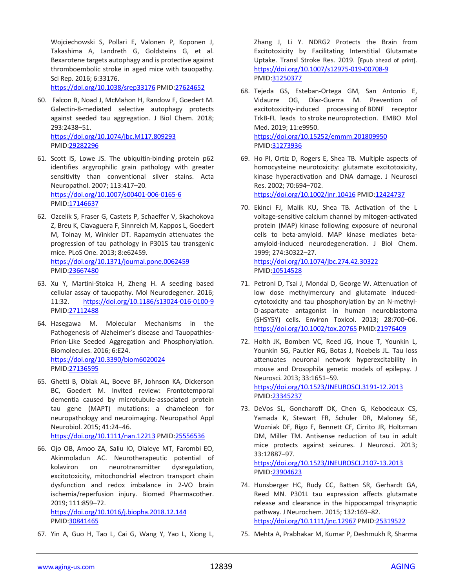Wojciechowski S, Pollari E, Valonen P, Koponen J, Takashima A, Landreth G, Goldsteins G, et al. Bexarotene targets autophagy and is protective against thromboembolic stroke in aged mice with tauopathy. Sci Rep. 2016; 6:33176.

<https://doi.org/10.1038/srep33176> PMID[:27624652](https://www.ncbi.nlm.nih.gov/entrez/query.fcgi?cmd=Retrieve&db=PubMed&list_uids=27624652&dopt=Abstract)

- 60. Falcon B, Noad J, McMahon H, Randow F, Goedert M. Galectin-8-mediated selective autophagy protects against seeded tau aggregation. J Biol Chem. 2018; 293:2438–51. <https://doi.org/10.1074/jbc.M117.809293> PMID[:29282296](https://www.ncbi.nlm.nih.gov/entrez/query.fcgi?cmd=Retrieve&db=PubMed&list_uids=29282296&dopt=Abstract)
- 61. Scott IS, Lowe JS. The ubiquitin-binding protein p62 identifies argyrophilic grain pathology with greater sensitivity than conventional silver stains. Acta Neuropathol. 2007; 113:417–20. <https://doi.org/10.1007/s00401-006-0165-6> PMID[:17146637](https://www.ncbi.nlm.nih.gov/entrez/query.fcgi?cmd=Retrieve&db=PubMed&list_uids=17146637&dopt=Abstract)
- 62. Ozcelik S, Fraser G, Castets P, Schaeffer V, Skachokova Z, Breu K, Clavaguera F, Sinnreich M, Kappos L, Goedert M, Tolnay M, Winkler DT. Rapamycin attenuates the progression of tau pathology in P301S tau transgenic mice. PLoS One. 2013; 8:e62459. <https://doi.org/10.1371/journal.pone.0062459> PMID[:23667480](https://www.ncbi.nlm.nih.gov/entrez/query.fcgi?cmd=Retrieve&db=PubMed&list_uids=23667480&dopt=Abstract)
- 63. Xu Y, Martini-Stoica H, Zheng H. A seeding based cellular assay of tauopathy. Mol Neurodegener. 2016; 11:32. <https://doi.org/10.1186/s13024-016-0100-9> PMID[:27112488](https://www.ncbi.nlm.nih.gov/entrez/query.fcgi?cmd=Retrieve&db=PubMed&list_uids=27112488&dopt=Abstract)
- 64. Hasegawa M. Molecular Mechanisms in the Pathogenesis of Alzheimer's disease and Tauopathies-Prion-Like Seeded Aggregation and Phosphorylation. Biomolecules. 2016; 6:E24. <https://doi.org/10.3390/biom6020024> PMID[:27136595](https://www.ncbi.nlm.nih.gov/entrez/query.fcgi?cmd=Retrieve&db=PubMed&list_uids=27136595&dopt=Abstract)
- 65. Ghetti B, Oblak AL, Boeve BF, Johnson KA, Dickerson BC, Goedert M. Invited review: Frontotemporal dementia caused by microtubule-associated protein tau gene (MAPT) mutations: a chameleon for neuropathology and neuroimaging. Neuropathol Appl Neurobiol. 2015; 41:24–46.

<https://doi.org/10.1111/nan.12213> PMID[:25556536](https://www.ncbi.nlm.nih.gov/entrez/query.fcgi?cmd=Retrieve&db=PubMed&list_uids=25556536&dopt=Abstract)

- 66. Ojo OB, Amoo ZA, Saliu IO, Olaleye MT, Farombi EO, Akinmoladun AC. Neurotherapeutic potential of kolaviron on neurotransmitter dysregulation, excitotoxicity, mitochondrial electron transport chain dysfunction and redox imbalance in 2-VO brain ischemia/reperfusion injury. Biomed Pharmacother. 2019; 111:859–72. <https://doi.org/10.1016/j.biopha.2018.12.144> PMID[:30841465](https://www.ncbi.nlm.nih.gov/entrez/query.fcgi?cmd=Retrieve&db=PubMed&list_uids=30841465&dopt=Abstract)
- 67. Yin A, Guo H, Tao L, Cai G, Wang Y, Yao L, Xiong L,

Zhang J, Li Y. NDRG2 Protects the Brain from Excitotoxicity by Facilitating Interstitial Glutamate Uptake. Transl Stroke Res. 2019. [Epub ahead of print]. <https://doi.org/10.1007/s12975-019-00708-9> PMID[:31250377](https://www.ncbi.nlm.nih.gov/entrez/query.fcgi?cmd=Retrieve&db=PubMed&list_uids=31250377&dopt=Abstract)

- 68. Tejeda GS, Esteban-Ortega GM, San Antonio E, Vidaurre OG, Díaz-Guerra M. Prevention of excitotoxicity-induced processing of BDNF receptor TrkB-FL leads to stroke neuroprotection. EMBO Mol Med. 2019; 11:e9950. <https://doi.org/10.15252/emmm.201809950> PMID[:31273936](https://www.ncbi.nlm.nih.gov/entrez/query.fcgi?cmd=Retrieve&db=PubMed&list_uids=31273936&dopt=Abstract)
- 69. Ho PI, Ortiz D, Rogers E, Shea TB. Multiple aspects of homocysteine neurotoxicity: glutamate excitotoxicity, kinase hyperactivation and DNA damage. J Neurosci Res. 2002; 70:694–702. <https://doi.org/10.1002/jnr.10416> PMID[:12424737](https://www.ncbi.nlm.nih.gov/entrez/query.fcgi?cmd=Retrieve&db=PubMed&list_uids=12424737&dopt=Abstract)

70. Ekinci FJ, Malik KU, Shea TB. Activation of the L voltage-sensitive calcium channel by mitogen-activated protein (MAP) kinase following exposure of neuronal cells to beta-amyloid. MAP kinase mediates betaamyloid-induced neurodegeneration. J Biol Chem. 1999; 274:30322–27. <https://doi.org/10.1074/jbc.274.42.30322>

PMID[:10514528](https://www.ncbi.nlm.nih.gov/entrez/query.fcgi?cmd=Retrieve&db=PubMed&list_uids=10514528&dopt=Abstract)

- 71. Petroni D, Tsai J, Mondal D, George W. Attenuation of low dose methylmercury and glutamate inducedcytotoxicity and tau phosphorylation by an N-methyl-D-aspartate antagonist in human neuroblastoma (SHSY5Y) cells. Environ Toxicol. 2013; 28:700–06. <https://doi.org/10.1002/tox.20765> PMID[:21976409](https://www.ncbi.nlm.nih.gov/entrez/query.fcgi?cmd=Retrieve&db=PubMed&list_uids=21976409&dopt=Abstract)
- 72. Holth JK, Bomben VC, Reed JG, Inoue T, Younkin L, Younkin SG, Pautler RG, Botas J, Noebels JL. Tau loss attenuates neuronal network hyperexcitability in mouse and Drosophila genetic models of epilepsy. J Neurosci. 2013; 33:1651–59. <https://doi.org/10.1523/JNEUROSCI.3191-12.2013> PMID[:23345237](https://www.ncbi.nlm.nih.gov/entrez/query.fcgi?cmd=Retrieve&db=PubMed&list_uids=23345237&dopt=Abstract)
- 73. DeVos SL, Goncharoff DK, Chen G, Kebodeaux CS, Yamada K, Stewart FR, Schuler DR, Maloney SE, Wozniak DF, Rigo F, Bennett CF, Cirrito JR, Holtzman DM, Miller TM. Antisense reduction of tau in adult mice protects against seizures. J Neurosci. 2013; 33:12887–97. <https://doi.org/10.1523/JNEUROSCI.2107-13.2013>

PMID[:23904623](https://www.ncbi.nlm.nih.gov/entrez/query.fcgi?cmd=Retrieve&db=PubMed&list_uids=23904623&dopt=Abstract)

- 74. Hunsberger HC, Rudy CC, Batten SR, Gerhardt GA, Reed MN. P301L tau expression affects glutamate release and clearance in the hippocampal trisynaptic pathway. J Neurochem. 2015; 132:169–82. <https://doi.org/10.1111/jnc.12967> PMID[:25319522](https://www.ncbi.nlm.nih.gov/entrez/query.fcgi?cmd=Retrieve&db=PubMed&list_uids=25319522&dopt=Abstract)
- 75. Mehta A, Prabhakar M, Kumar P, Deshmukh R, Sharma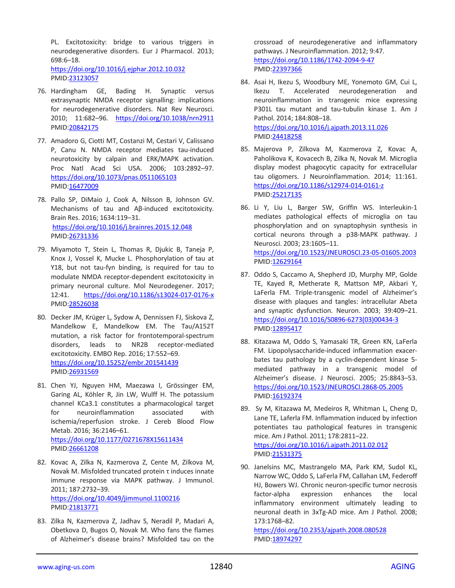PL. Excitotoxicity: bridge to various triggers in neurodegenerative disorders. Eur J Pharmacol. 2013; 698:6–18. <https://doi.org/10.1016/j.ejphar.2012.10.032> PMID[:23123057](https://www.ncbi.nlm.nih.gov/entrez/query.fcgi?cmd=Retrieve&db=PubMed&list_uids=23123057&dopt=Abstract)

- 76. Hardingham GE, Bading H. Synaptic versus extrasynaptic NMDA receptor signalling: implications for neurodegenerative disorders. Nat Rev Neurosci. 2010; 11:682–96. <https://doi.org/10.1038/nrn2911> PMID[:20842175](https://www.ncbi.nlm.nih.gov/entrez/query.fcgi?cmd=Retrieve&db=PubMed&list_uids=20842175&dopt=Abstract)
- 77. Amadoro G, Ciotti MT, Costanzi M, Cestari V, Calissano P, Canu N. NMDA receptor mediates tau-induced neurotoxicity by calpain and ERK/MAPK activation. Proc Natl Acad Sci USA. 2006; 103:2892–97. <https://doi.org/10.1073/pnas.0511065103> PMID[:16477009](https://www.ncbi.nlm.nih.gov/entrez/query.fcgi?cmd=Retrieve&db=PubMed&list_uids=16477009&dopt=Abstract)
- 78. Pallo SP, DiMaio J, Cook A, Nilsson B, Johnson GV. Mechanisms of tau and Aβ-induced excitotoxicity. Brain Res. 2016; 1634:119–31. <https://doi.org/10.1016/j.brainres.2015.12.048> PMID[:26731336](https://www.ncbi.nlm.nih.gov/entrez/query.fcgi?cmd=Retrieve&db=PubMed&list_uids=26731336&dopt=Abstract)
- 79. Miyamoto T, Stein L, Thomas R, Djukic B, Taneja P, Knox J, Vossel K, Mucke L. Phosphorylation of tau at Y18, but not tau-fyn binding, is required for tau to modulate NMDA receptor-dependent excitotoxicity in primary neuronal culture. Mol Neurodegener. 2017; 12:41. <https://doi.org/10.1186/s13024-017-0176-x> PMID[:28526038](https://www.ncbi.nlm.nih.gov/entrez/query.fcgi?cmd=Retrieve&db=PubMed&list_uids=28526038&dopt=Abstract)
- 80. Decker JM, Krüger L, Sydow A, Dennissen FJ, Siskova Z, Mandelkow E, Mandelkow EM. The Tau/A152T mutation, a risk factor for frontotemporal-spectrum disorders, leads to NR2B receptor-mediated excitotoxicity. EMBO Rep. 2016; 17:552–69. <https://doi.org/10.15252/embr.201541439> PMID[:26931569](https://www.ncbi.nlm.nih.gov/entrez/query.fcgi?cmd=Retrieve&db=PubMed&list_uids=26931569&dopt=Abstract)
- 81. Chen YJ, Nguyen HM, Maezawa I, Grössinger EM, Garing AL, Köhler R, Jin LW, Wulff H. The potassium channel KCa3.1 constitutes a pharmacological target for neuroinflammation associated with ischemia/reperfusion stroke. J Cereb Blood Flow Metab. 2016; 36:2146–61. <https://doi.org/10.1177/0271678X15611434> PMID[:26661208](https://www.ncbi.nlm.nih.gov/entrez/query.fcgi?cmd=Retrieve&db=PubMed&list_uids=26661208&dopt=Abstract)
- 82. Kovac A, Zilka N, Kazmerova Z, Cente M, Zilkova M, Novak M. Misfolded truncated protein τ induces innate immune response via MAPK pathway. J Immunol. 2011; 187:2732–39. <https://doi.org/10.4049/jimmunol.1100216> PMID[:21813771](https://www.ncbi.nlm.nih.gov/entrez/query.fcgi?cmd=Retrieve&db=PubMed&list_uids=21813771&dopt=Abstract)
- 83. Zilka N, Kazmerova Z, Jadhav S, Neradil P, Madari A, Obetkova D, Bugos O, Novak M. Who fans the flames of Alzheimer's disease brains? Misfolded tau on the

crossroad of neurodegenerative and inflammatory pathways. J Neuroinflammation. 2012; 9:47. <https://doi.org/10.1186/1742-2094-9-47> PMID[:22397366](https://www.ncbi.nlm.nih.gov/entrez/query.fcgi?cmd=Retrieve&db=PubMed&list_uids=22397366&dopt=Abstract)

- 84. Asai H, Ikezu S, Woodbury ME, Yonemoto GM, Cui L, Ikezu T. Accelerated neurodegeneration and neuroinflammation in transgenic mice expressing P301L tau mutant and tau-tubulin kinase 1. Am J Pathol. 2014; 184:808–18. <https://doi.org/10.1016/j.ajpath.2013.11.026> PMID[:24418258](https://www.ncbi.nlm.nih.gov/entrez/query.fcgi?cmd=Retrieve&db=PubMed&list_uids=24418258&dopt=Abstract)
- 85. Majerova P, Zilkova M, Kazmerova Z, Kovac A, Paholikova K, Kovacech B, Zilka N, Novak M. Microglia display modest phagocytic capacity for extracellular tau oligomers. J Neuroinflammation. 2014; 11:161. <https://doi.org/10.1186/s12974-014-0161-z> PMID[:25217135](https://www.ncbi.nlm.nih.gov/entrez/query.fcgi?cmd=Retrieve&db=PubMed&list_uids=25217135&dopt=Abstract)
- 86. Li Y, Liu L, Barger SW, Griffin WS. Interleukin-1 mediates pathological effects of microglia on tau phosphorylation and on synaptophysin synthesis in cortical neurons through a p38-MAPK pathway. J Neurosci. 2003; 23:1605–11. <https://doi.org/10.1523/JNEUROSCI.23-05-01605.2003> PMID[:12629164](https://www.ncbi.nlm.nih.gov/entrez/query.fcgi?cmd=Retrieve&db=PubMed&list_uids=12629164&dopt=Abstract)
- 87. Oddo S, Caccamo A, Shepherd JD, Murphy MP, Golde TE, Kayed R, Metherate R, Mattson MP, Akbari Y, LaFerla FM. Triple-transgenic model of Alzheimer's disease with plaques and tangles: intracellular Abeta and synaptic dysfunction. Neuron. 2003; 39:409–21. [https://doi.org/10.1016/S0896-6273\(03\)00434-3](https://doi.org/10.1016/S0896-6273(03)00434-3) PMID[:12895417](https://www.ncbi.nlm.nih.gov/entrez/query.fcgi?cmd=Retrieve&db=PubMed&list_uids=12895417&dopt=Abstract)
- 88. Kitazawa M, Oddo S, Yamasaki TR, Green KN, LaFerla FM. Lipopolysaccharide-induced inflammation exacerbates tau pathology by a cyclin-dependent kinase 5 mediated pathway in a transgenic model of Alzheimer's disease. J Neurosci. 2005; 25:8843–53. <https://doi.org/10.1523/JNEUROSCI.2868-05.2005> PMID[:16192374](https://www.ncbi.nlm.nih.gov/entrez/query.fcgi?cmd=Retrieve&db=PubMed&list_uids=16192374&dopt=Abstract)
- 89. Sy M, Kitazawa M, Medeiros R, Whitman L, Cheng D, Lane TE, Laferla FM. Inflammation induced by infection potentiates tau pathological features in transgenic mice. Am J Pathol. 2011; 178:2811–22. <https://doi.org/10.1016/j.ajpath.2011.02.012> PMID[:21531375](https://www.ncbi.nlm.nih.gov/entrez/query.fcgi?cmd=Retrieve&db=PubMed&list_uids=21531375&dopt=Abstract)
- 90. Janelsins MC, Mastrangelo MA, Park KM, Sudol KL, Narrow WC, Oddo S, LaFerla FM, Callahan LM, Federoff HJ, Bowers WJ. Chronic neuron-specific tumor necrosis factor-alpha expression enhances the local inflammatory environment ultimately leading to neuronal death in 3xTg-AD mice. Am J Pathol. 2008; 173:1768–82.

<https://doi.org/10.2353/ajpath.2008.080528> PMID[:18974297](https://www.ncbi.nlm.nih.gov/entrez/query.fcgi?cmd=Retrieve&db=PubMed&list_uids=18974297&dopt=Abstract)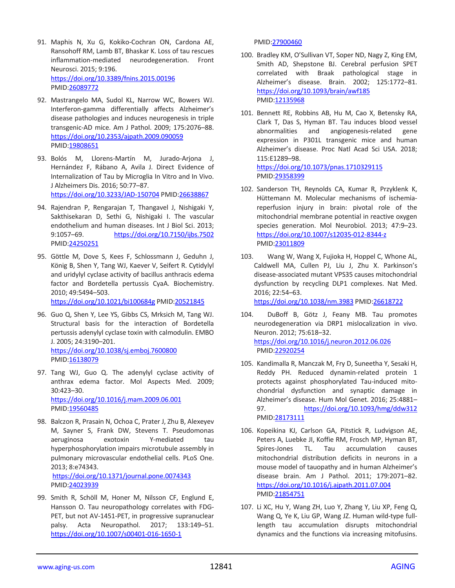- 91. Maphis N, Xu G, Kokiko-Cochran ON, Cardona AE, Ransohoff RM, Lamb BT, Bhaskar K. Loss of tau rescues inflammation-mediated neurodegeneration. Front Neurosci. 2015; 9:196. <https://doi.org/10.3389/fnins.2015.00196> PMID[:26089772](https://www.ncbi.nlm.nih.gov/entrez/query.fcgi?cmd=Retrieve&db=PubMed&list_uids=26089772&dopt=Abstract)
- 92. Mastrangelo MA, Sudol KL, Narrow WC, Bowers WJ. Interferon-gamma differentially affects Alzheimer's disease pathologies and induces neurogenesis in triple transgenic-AD mice. Am J Pathol. 2009; 175:2076–88. <https://doi.org/10.2353/ajpath.2009.090059> PMID[:19808651](https://www.ncbi.nlm.nih.gov/entrez/query.fcgi?cmd=Retrieve&db=PubMed&list_uids=19808651&dopt=Abstract)
- 93. Bolós M, Llorens-Martín M, Jurado-Arjona J, Hernández F, Rábano A, Avila J. Direct Evidence of Internalization of Tau by Microglia In Vitro and In Vivo. J Alzheimers Dis. 2016; 50:77–87. <https://doi.org/10.3233/JAD-150704> PMID[:26638867](https://www.ncbi.nlm.nih.gov/entrez/query.fcgi?cmd=Retrieve&db=PubMed&list_uids=26638867&dopt=Abstract)
- 94. Rajendran P, Rengarajan T, Thangavel J, Nishigaki Y, Sakthisekaran D, Sethi G, Nishigaki I. The vascular endothelium and human diseases. Int J Biol Sci. 2013; 9:1057–69. <https://doi.org/10.7150/ijbs.7502> PMID[:24250251](https://www.ncbi.nlm.nih.gov/entrez/query.fcgi?cmd=Retrieve&db=PubMed&list_uids=24250251&dopt=Abstract)
- 95. Göttle M, Dove S, Kees F, Schlossmann J, Geduhn J, König B, Shen Y, Tang WJ, Kaever V, Seifert R. Cytidylyl and uridylyl cyclase activity of bacillus anthracis edema factor and Bordetella pertussis CyaA. Biochemistry. 2010; 49:5494–503.

<https://doi.org/10.1021/bi100684g> PMID[:20521845](https://www.ncbi.nlm.nih.gov/entrez/query.fcgi?cmd=Retrieve&db=PubMed&list_uids=20521845&dopt=Abstract)

- 96. Guo Q, Shen Y, Lee YS, Gibbs CS, Mrksich M, Tang WJ. Structural basis for the interaction of Bordetella pertussis adenylyl cyclase toxin with calmodulin. EMBO J. 2005; 24:3190–201. <https://doi.org/10.1038/sj.emboj.7600800> PMID: 16138079
- 97. Tang WJ, Guo Q. The adenylyl cyclase activity of anthrax edema factor. Mol Aspects Med. 2009; 30:423–30. <https://doi.org/10.1016/j.mam.2009.06.001> PMID: 19560485
- 98. Balczon R, Prasain N, Ochoa C, Prater J, Zhu B, Alexeyev M, Sayner S, Frank DW, Stevens T. Pseudomonas aeruginosa exotoxin Y-mediated tau hyperphosphorylation impairs microtubule assembly in pulmonary microvascular endothelial cells. PLoS One. 2013; 8:e74343. <https://doi.org/10.1371/journal.pone.0074343> PMID[:24023939](https://www.ncbi.nlm.nih.gov/entrez/query.fcgi?cmd=Retrieve&db=PubMed&list_uids=24023939&dopt=Abstract)
- 99. Smith R, Schöll M, Honer M, Nilsson CF, Englund E, Hansson O. Tau neuropathology correlates with FDG-PET, but not AV-1451-PET, in progressive supranuclear palsy. Acta Neuropathol. 2017; 133:149–51. <https://doi.org/10.1007/s00401-016-1650-1>

PMID[:27900460](https://www.ncbi.nlm.nih.gov/entrez/query.fcgi?cmd=Retrieve&db=PubMed&list_uids=27900460&dopt=Abstract)

- 100. Bradley KM, O'Sullivan VT, Soper ND, Nagy Z, King EM, Smith AD, Shepstone BJ. Cerebral perfusion SPET correlated with Braak pathological stage in Alzheimer's disease. Brain. 2002; 125:1772–81. <https://doi.org/10.1093/brain/awf185> PMID[:12135968](https://www.ncbi.nlm.nih.gov/entrez/query.fcgi?cmd=Retrieve&db=PubMed&list_uids=12135968&dopt=Abstract)
- 101. Bennett RE, Robbins AB, Hu M, Cao X, Betensky RA, Clark T, Das S, Hyman BT. Tau induces blood vessel abnormalities and angiogenesis-related gene expression in P301L transgenic mice and human Alzheimer's disease. Proc Natl Acad Sci USA. 2018; 115:E1289–98. <https://doi.org/10.1073/pnas.1710329115>

PMID[:29358399](https://www.ncbi.nlm.nih.gov/entrez/query.fcgi?cmd=Retrieve&db=PubMed&list_uids=29358399&dopt=Abstract)

- 102. Sanderson TH, Reynolds CA, Kumar R, Przyklenk K, Hüttemann M. Molecular mechanisms of ischemiareperfusion injury in brain: pivotal role of the mitochondrial membrane potential in reactive oxygen species generation. Mol Neurobiol. 2013; 47:9–23. <https://doi.org/10.1007/s12035-012-8344-z> PMID[:23011809](https://www.ncbi.nlm.nih.gov/entrez/query.fcgi?cmd=Retrieve&db=PubMed&list_uids=23011809&dopt=Abstract)
- 103. Wang W, Wang X, Fujioka H, Hoppel C, Whone AL, Caldwell MA, Cullen PJ, Liu J, Zhu X. Parkinson's disease-associated mutant VPS35 causes mitochondrial dysfunction by recycling DLP1 complexes. Nat Med. 2016; 22:54–63. <https://doi.org/10.1038/nm.3983> PMI[D:26618722](https://www.ncbi.nlm.nih.gov/entrez/query.fcgi?cmd=Retrieve&db=PubMed&list_uids=26618722&dopt=Abstract)
- 104. DuBoff B, Götz J, Feany MB. Tau promotes neurodegeneration via DRP1 mislocalization in vivo. Neuron. 2012; 75:618–32. <https://doi.org/10.1016/j.neuron.2012.06.026> PMID[:22920254](https://www.ncbi.nlm.nih.gov/entrez/query.fcgi?cmd=Retrieve&db=PubMed&list_uids=22920254&dopt=Abstract)
- 105. Kandimalla R, Manczak M, Fry D, Suneetha Y, Sesaki H, Reddy PH. Reduced dynamin-related protein 1 protects against phosphorylated Tau-induced mitochondrial dysfunction and synaptic damage in Alzheimer's disease. Hum Mol Genet. 2016; 25:4881– 97. <https://doi.org/10.1093/hmg/ddw312> PMID[:28173111](https://www.ncbi.nlm.nih.gov/entrez/query.fcgi?cmd=Retrieve&db=PubMed&list_uids=28173111&dopt=Abstract)
- 106. Kopeikina KJ, Carlson GA, Pitstick R, Ludvigson AE, Peters A, Luebke JI, Koffie RM, Frosch MP, Hyman BT, Spires-Jones TL. Tau accumulation causes mitochondrial distribution deficits in neurons in a mouse model of tauopathy and in human Alzheimer's disease brain. Am J Pathol. 2011; 179:2071–82. <https://doi.org/10.1016/j.ajpath.2011.07.004> PMID[:21854751](https://www.ncbi.nlm.nih.gov/entrez/query.fcgi?cmd=Retrieve&db=PubMed&list_uids=21854751&dopt=Abstract)
- 107. Li XC, Hu Y, Wang ZH, Luo Y, Zhang Y, Liu XP, Feng Q, Wang Q, Ye K, Liu GP, Wang JZ. Human wild-type fulllength tau accumulation disrupts mitochondrial dynamics and the functions via increasing mitofusins.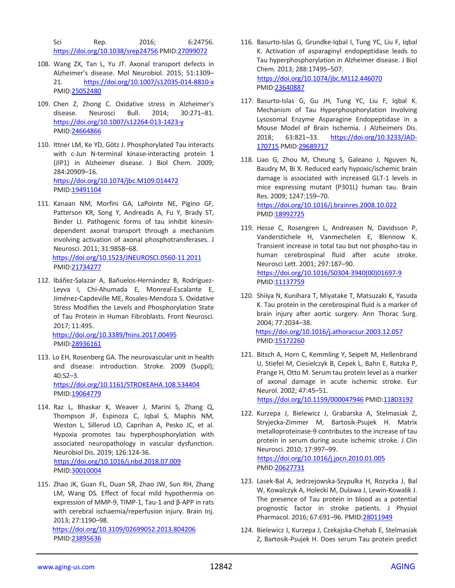Sci Rep. 2016: 6:24756. <https://doi.org/10.1038/srep24756> PMID[:27099072](https://www.ncbi.nlm.nih.gov/entrez/query.fcgi?cmd=Retrieve&db=PubMed&list_uids=27099072&dopt=Abstract)

- 108. Wang ZX, Tan L, Yu JT. Axonal transport defects in Alzheimer's disease. Mol Neurobiol. 2015; 51:1309– 21. <https://doi.org/10.1007/s12035-014-8810-x> PMID[:25052480](https://www.ncbi.nlm.nih.gov/entrez/query.fcgi?cmd=Retrieve&db=PubMed&list_uids=25052480&dopt=Abstract)
- 109. Chen Z, Zhong C. Oxidative stress in Alzheimer's disease. Neurosci Bull. 2014; 30:271–81. <https://doi.org/10.1007/s12264-013-1423-y> PMID[:24664866](https://www.ncbi.nlm.nih.gov/entrez/query.fcgi?cmd=Retrieve&db=PubMed&list_uids=24664866&dopt=Abstract)
- 110. Ittner LM, Ke YD, Götz J. Phosphorylated Tau interacts with c-Jun N-terminal kinase-interacting protein 1 (JIP1) in Alzheimer disease. J Biol Chem. 2009; 284:20909–16. <https://doi.org/10.1074/jbc.M109.014472> PMID[:19491104](https://www.ncbi.nlm.nih.gov/entrez/query.fcgi?cmd=Retrieve&db=PubMed&list_uids=19491104&dopt=Abstract)
- 111. Kanaan NM, Morfini GA, LaPointe NE, Pigino GF, Patterson KR, Song Y, Andreadis A, Fu Y, Brady ST, Binder LI. Pathogenic forms of tau inhibit kinesindependent axonal transport through a mechanism involving activation of axonal phosphotransferases. J Neurosci. 2011; 31:9858–68. <https://doi.org/10.1523/JNEUROSCI.0560-11.2011> PMID[:21734277](https://www.ncbi.nlm.nih.gov/entrez/query.fcgi?cmd=Retrieve&db=PubMed&list_uids=21734277&dopt=Abstract)
- 112. Ibáñez-Salazar A, Bañuelos-Hernández B, Rodríguez-Leyva I, Chi-Ahumada E, Monreal-Escalante E, Jiménez-Capdeville ME, Rosales-Mendoza S. Oxidative Stress Modifies the Levels and Phosphorylation State of Tau Protein in Human Fibroblasts. Front Neurosci. 2017; 11:495.

<https://doi.org/10.3389/fnins.2017.00495> PMID[:28936161](https://www.ncbi.nlm.nih.gov/entrez/query.fcgi?cmd=Retrieve&db=PubMed&list_uids=28936161&dopt=Abstract)

113. Lo EH, Rosenberg GA. The neurovascular unit in health and disease: introduction. Stroke. 2009 (Suppl); 40:S2–3. <https://doi.org/10.1161/STROKEAHA.108.534404>

PMID[:19064779](https://www.ncbi.nlm.nih.gov/entrez/query.fcgi?cmd=Retrieve&db=PubMed&list_uids=19064779&dopt=Abstract)

- 114. Raz L, Bhaskar K, Weaver J, Marini S, Zhang Q, Thompson JF, Espinoza C, Iqbal S, Maphis NM, Weston L, Sillerud LO, Caprihan A, Pesko JC, et al. Hypoxia promotes tau hyperphosphorylation with associated neuropathology in vascular dysfunction. Neurobiol Dis. 2019; 126:124-36. <https://doi.org/10.1016/j.nbd.2018.07.009> PMID[:30010004](https://www.ncbi.nlm.nih.gov/entrez/query.fcgi?cmd=Retrieve&db=PubMed&list_uids=30010004&dopt=Abstract)
- 115. Zhao JK, Guan FL, Duan SR, Zhao JW, Sun RH, Zhang LM, Wang DS. Effect of focal mild hypothermia on expression of MMP-9, TIMP-1, Tau-1 and β-APP in rats with cerebral ischaemia/reperfusion injury. Brain Inj. 2013; 27:1190–98. <https://doi.org/10.3109/02699052.2013.804206> PMID[:23895636](https://www.ncbi.nlm.nih.gov/entrez/query.fcgi?cmd=Retrieve&db=PubMed&list_uids=23895636&dopt=Abstract)
- 116. Basurto-Islas G, Grundke-Iqbal I, Tung YC, Liu F, Iqbal K. Activation of asparaginyl endopeptidase leads to Tau hyperphosphorylation in Alzheimer disease. J Biol Chem. 2013; 288:17495–507. <https://doi.org/10.1074/jbc.M112.446070> PMID[:23640887](https://www.ncbi.nlm.nih.gov/entrez/query.fcgi?cmd=Retrieve&db=PubMed&list_uids=23640887&dopt=Abstract)
- 117. Basurto-Islas G, Gu JH, Tung YC, Liu F, Iqbal K. Mechanism of Tau Hyperphosphorylation Involving Lysosomal Enzyme Asparagine Endopeptidase in a Mouse Model of Brain Ischemia. J Alzheimers Dis. 2018; 63:821–33. [https://doi.org/10.3233/JAD-](https://doi.org/10.3233/JAD-170715)[170715](https://doi.org/10.3233/JAD-170715) PMID[:29689717](https://www.ncbi.nlm.nih.gov/entrez/query.fcgi?cmd=Retrieve&db=PubMed&list_uids=29689717&dopt=Abstract)
- 118. Liao G, Zhou M, Cheung S, Galeano J, Nguyen N, Baudry M, Bi X. Reduced early hypoxic/ischemic brain damage is associated with increased GLT-1 levels in mice expressing mutant (P301L) human tau. Brain Res. 2009; 1247:159–70.

<https://doi.org/10.1016/j.brainres.2008.10.022> PMID[:18992725](https://www.ncbi.nlm.nih.gov/entrez/query.fcgi?cmd=Retrieve&db=PubMed&list_uids=18992725&dopt=Abstract)

- 119. Hesse C, Rosengren L, Andreasen N, Davidsson P, Vanderstichele H, Vanmechelen E, Blennow K. Transient increase in total tau but not phospho-tau in human cerebrospinal fluid after acute stroke. Neurosci Lett. 2001; 297:187–90.  [https://doi.org/10.1016/S0304-3940\(00\)01697-9](https://doi.org/10.1016/S0304-3940(00)01697-9) PMID[:11137759](https://www.ncbi.nlm.nih.gov/entrez/query.fcgi?cmd=Retrieve&db=PubMed&list_uids=11137759&dopt=Abstract)
- 120. Shiiya N, Kunihara T, Miyatake T, Matsuzaki K, Yasuda K. Tau protein in the cerebrospinal fluid is a marker of brain injury after aortic surgery. Ann Thorac Surg. 2004; 77:2034–38. <https://doi.org/10.1016/j.athoracsur.2003.12.057> PMID[:15172260](https://www.ncbi.nlm.nih.gov/entrez/query.fcgi?cmd=Retrieve&db=PubMed&list_uids=15172260&dopt=Abstract)
- 121. Bitsch A, Horn C, Kemmling Y, Seipelt M, Hellenbrand U, Stiefel M, Ciesielczyk B, Cepek L, Bahn E, Ratzka P, Prange H, Otto M. Serum tau protein level as a marker of axonal damage in acute ischemic stroke. Eur Neurol. 2002; 47:45–51. <https://doi.org/10.1159/000047946> PMID[:11803192](https://www.ncbi.nlm.nih.gov/entrez/query.fcgi?cmd=Retrieve&db=PubMed&list_uids=11803192&dopt=Abstract)
- 122. Kurzepa J, Bielewicz J, Grabarska A, Stelmasiak Z, Stryjecka-Zimmer M, Bartosik-Psujek H. Matrix metalloproteinase-9 contributes to the increase of tau protein in serum during acute ischemic stroke. J Clin Neurosci. 2010; 17:997–99. <https://doi.org/10.1016/j.jocn.2010.01.005> PMID[:20627731](https://www.ncbi.nlm.nih.gov/entrez/query.fcgi?cmd=Retrieve&db=PubMed&list_uids=20627731&dopt=Abstract)
- 123. Lasek-Bal A, Jedrzejowska-Szypulka H, Rozycka J, Bal W, Kowalczyk A, Holecki M, Dulawa J, Lewin-Kowalik J. The presence of Tau protein in blood as a potential prognostic factor in stroke patients. J Physiol Pharmacol. 2016; 67:691–96. PMI[D:28011949](https://www.ncbi.nlm.nih.gov/entrez/query.fcgi?cmd=Retrieve&db=PubMed&list_uids=28011949&dopt=Abstract)
- 124. Bielewicz J, Kurzepa J, Czekajska-Chehab E, Stelmasiak Z, Bartosik-Psujek H. Does serum Tau protein predict